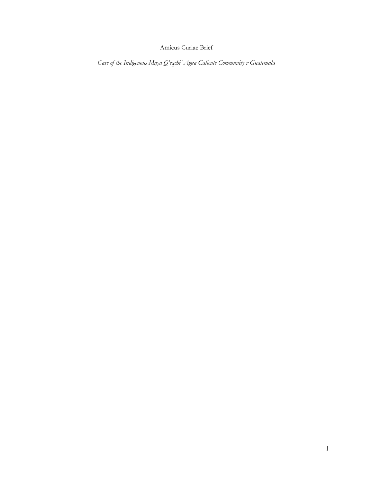# Amicus Curiae Brief

*Case of the Indigenous Maya Q'eqchi' Agua Caliente Community v Guatemala*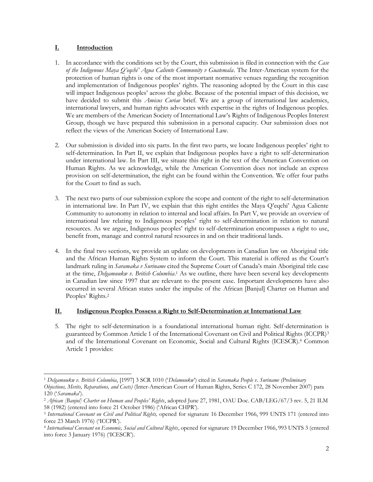## **I. Introduction**

- 1. In accordance with the conditions set by the Court, this submission is filed in connection with the *Case of the Indigenous Maya Q'eqchi' Agua Caliente Community v Guatemala*. The Inter-American system for the protection of human rights is one of the most important normative venues regarding the recognition and implementation of Indigenous peoples' rights. The reasoning adopted by the Court in this case will impact Indigenous peoples' across the globe. Because of the potential impact of this decision, we have decided to submit this *Amicus Curiae* brief. We are a group of international law academics, international lawyers, and human rights advocates with expertise in the rights of Indigenous peoples. We are members of the American Society of International Law's Rights of Indigenous Peoples Interest Group, though we have prepared this submission in a personal capacity. Our submission does not reflect the views of the American Society of International Law.
- 2. Our submission is divided into six parts. In the first two parts, we locate Indigenous peoples' right to self-determination. In Part II, we explain that Indigenous peoples have a right to self-determination under international law. In Part III, we situate this right in the text of the American Convention on Human Rights. As we acknowledge, while the American Convention does not include an express provision on self-determination, the right can be found within the Convention. We offer four paths for the Court to find as such.
- 3. The next two parts of our submission explore the scope and content of the right to self-determination in international law. In Part IV, we explain that this right entitles the Maya Q'eqchi' Agua Caliente Community to autonomy in relation to internal and local affairs. In Part V, we provide an overview of international law relating to Indigenous peoples' right to self-determination in relation to natural resources. As we argue, Indigenous peoples' right to self-determination encompasses a right to use, benefit from, manage and control natural resources in and on their traditional lands.
- <span id="page-1-0"></span>4. In the final two sections, we provide an update on developments in Canadian law on Aboriginal title and the African Human Rights System to inform the Court. This material is offered as the Court's landmark ruling in *Saramaka v Suriname* cited the Supreme Court of Canada's main Aboriginal title case at the time, *Delgamuukw v. British Columbia*. <sup>1</sup> As we outline, there have been several key developments in Canadian law since 1997 that are relevant to the present case. Important developments have also occurred in several African states under the impulse of the African [Banjul] Charter on Human and Peoples' Rights.<sup>2</sup>

## **II. Indigenous Peoples Possess a Right to Self-Determination at International Law**

5. The right to self-determination is a foundational international human right. Self-determination is guaranteed by Common Article 1 of the International Covenant on Civil and Political Rights (ICCPR)<sup>3</sup> and of the International Covenant on Economic, Social and Cultural Rights (ICESCR).<sup>4</sup> Common Article 1 provides:

<sup>1</sup> *Delgamuukw v. British Columbia*, [1997] 3 SCR 1010 ('*Delamuukw*') cited in *Saramaka People v. Suriname (Preliminary Objections, Merits, Reparations, and Costs)* (Inter-American Court of Human Rights, Series C 172, 28 November 2007) para 120 ('*Saramaka*').

<sup>&</sup>lt;sup>2</sup> African [Banjul] Charter on Human and Peoples' Rights, adopted June 27, 1981, OAU Doc. CAB/LEG/67/3 rev. 5, 21 ILM 58 (1982) (entered into force 21 October 1986) ('African CHPR').

<sup>3</sup> *International Covenant on Civil and Political Rights,* opened for signature 16 December 1966, 999 UNTS 171 (entered into force 23 March 1976) ('ICCPR').

<sup>4</sup> *International Covenant on Economic, Social and Cultural Rights*, opened for signature 19 December 1966, 993 UNTS 3 (entered into force 3 January 1976) ('ICESCR').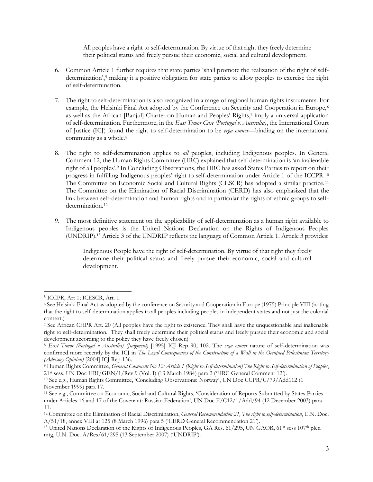All peoples have a right to self-determination. By virtue of that right they freely determine their political status and freely pursue their economic, social and cultural development.

- 6. Common Article 1 further requires that state parties 'shall promote the realization of the right of selfdetermination', <sup>5</sup> making it a positive obligation for state parties to allow peoples to exercise the right of self-determination.
- 7. The right to self-determination is also recognized in a range of regional human rights instruments. For example, the Helsinki Final Act adopted by the Conference on Security and Cooperation in Europe,<sup>6</sup> as well as the African [Banjul] Charter on Human and Peoples' Rights,<sup>7</sup> imply a universal application of self-determination. Furthermore, in the *East Timor Case (Portugal v. Australia)*, the International Court of Justice (ICJ) found the right to self-determination to be *erga omnes*—binding on the international community as a whole.<sup>8</sup>
- <span id="page-2-0"></span>8. The right to self-determination applies to *all* peoples, including Indigenous peoples. In General Comment 12, the Human Rights Committee (HRC) explained that self-determination is 'an inalienable right of all peoples'.<sup>9</sup> In Concluding Observations, the HRC has asked States Parties to report on their progress in fulfilling Indigenous peoples' right to self-determination under Article 1 of the ICCPR.<sup>10</sup> The Committee on Economic Social and Cultural Rights (CESCR) has adopted a similar practice. <sup>11</sup> The Committee on the Elimination of Racial Discrimination (CERD) has also emphasized that the link between self-determination and human rights and in particular the rights of ethnic groups to selfdetermination.<sup>12</sup>
- <span id="page-2-1"></span>9. The most definitive statement on the applicability of self-determination as a human right available to Indigenous peoples is the United Nations Declaration on the Rights of Indigenous Peoples (UNDRIP). <sup>13</sup> Article 3 of the UNDRIP reflects the language of Common Article 1. Article 3 provides:

Indigenous People have the right of self-determination. By virtue of that right they freely determine their political status and freely pursue their economic, social and cultural development.

<sup>5</sup> ICCPR, Art 1; ICESCR, Art. 1.

<sup>6</sup> See Helsinki Final Act as adopted by the conference on Security and Cooperation in Europe (1975) Principle VIII (noting that the right to self-determination applies to all peoples including peoples in independent states and not just the colonial context.)

<sup>7</sup> See African CHPR Art. 20 (All peoples have the right to existence. They shall have the unquestionable and inalienable right to self-determination. They shall freely determine their political status and freely pursue their economic and social development according to the policy they have freely chosen)

<sup>8</sup> *East Timor (Portugal v Australia) (Judgment)* [1995] ICJ Rep 90, 102. The *erga omnes* nature of self-determination was confirmed more recently by the ICJ in *The Legal Consequences of the Construction of a Wall in the Occupied Palestinian Territory (Advisory Opinion)* [2004] ICJ Rep 136.

<sup>9</sup> Human Rights Committee, *General Comment No 12: Article 1 (Right to Self-determination) The Right to Self-determination of Peoples*, 21<sup>st</sup> sess, UN Doc HRI/GEN/1/Rev.9 (Vol. I) (13 March 1984) para 2 ('HRC General Comment 12').

<sup>10</sup> See e.g., Human Rights Committee, 'Concluding Observations: Norway', UN Doc CCPR/C/79/Add112 (1 November 1999) para 17.

<sup>11</sup> See e.g., Committee on Economic, Social and Cultural Rights, 'Consideration of Reports Submitted by States Parties under Articles 16 and 17 of the Covenant: Russian Federation', UN Doc E/C12/1/Add/94 (12 December 2003) para 11.

<sup>12</sup> Committee on the Elimination of Racial Discrimination, *General Recommendation 21, The right to self-determination*, U.N. Doc. A/51/18, annex VIII at 125 (8 March 1996) para 5 ('CERD General Recommendation 21').

<sup>13</sup> United Nations Declaration of the Rights of Indigenous Peoples, GA Res. 61/295, UN GAOR, 61st sess 107th plen mtg, U.N. Doc. A/Res/61/295 (13 September 2007) ('UNDRIP').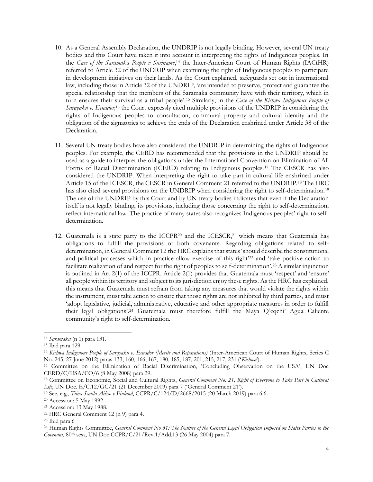- 10. As a General Assembly Declaration, the UNDRIP is not legally binding. However, several UN treaty bodies and this Court have taken it into account in interpreting the rights of Indigenous peoples. In the *Case of the Saramaka People v Suriname*, <sup>14</sup> the Inter-American Court of Human Rights (IACtHR) referred to Article 32 of the UNDRIP when examining the right of Indigenous peoples to participate in development initiatives on their lands. As the Court explained, safeguards set out in international law, including those in Article 32 of the UNDRIP, 'are intended to preserve, protect and guarantee the special relationship that the members of the Saramaka community have with their territory, which in turn ensures their survival as a tribal people'.<sup>15</sup> Similarly, in the *Case of the Kichwa Indigenous People of Sarayaku v. Ecuador,*<sup>16</sup> the Court expressly cited multiple provisions of the UNDRIP in considering the rights of Indigenous peoples to consultation, communal property and cultural identity and the obligation of the signatories to achieve the ends of the Declaration enshrined under Article 38 of the Declaration.
- <span id="page-3-1"></span><span id="page-3-0"></span>11. Several UN treaty bodies have also considered the UNDRIP in determining the rights of Indigenous peoples. For example, the CERD has recommended that the provisions in the UNDRIP should be used as a guide to interpret the obligations under the International Convention on Elimination of All Forms of Racial Discrimination (ICERD) relating to Indigenous peoples. <sup>17</sup> The CESCR has also considered the UNDRIP. When interpreting the right to take part in cultural life enshrined under Article 15 of the ICESCR, the CESCR in General Comment 21 referred to the UNDRIP.<sup>18</sup> The HRC has also cited several provisions on the UNDRIP when considering the right to self-determination.<sup>19</sup> The use of the UNDRIP by this Court and by UN treaty bodies indicates that even if the Declaration itself is not legally binding, its provisions, including those concerning the right to self-determination, reflect international law. The practice of many states also recognizes Indigenous peoples' right to selfdetermination.
- 12. Guatemala is a state party to the ICCPR<sup>20</sup> and the ICESCR,<sup>21</sup> which means that Guatemala has obligations to fulfill the provisions of both covenants. Regarding obligations related to selfdetermination, in General Comment 12 the HRC explains that states 'should describe the constitutional and political processes which in practice allow exercise of this right'<sup>22</sup> and 'take positive action to facilitate realization of and respect for the right of peoples to self-determination'.<sup>23</sup> A similar injunction is outlined in Art 2(1) of the ICCPR. Article 2(1) provides that Guatemala must 'respect' and 'ensure' all people within its territory and subject to its jurisdiction enjoy these rights. As the HRC has explained, this means that Guatemala must refrain from taking any measures that would violate the rights within the instrument, must take action to ensure that those rights are not inhibited by third parties, and must 'adopt legislative, judicial, administrative, educative and other appropriate measures in order to fulfill their legal obligations'.<sup>24</sup> Guatemala must therefore fulfill the Maya Q'eqchi' Agua Caliente community's right to self-determination.

<sup>14</sup> *Saramaka* (n [1\)](#page-1-0) para 131.

<sup>15</sup> Ibid para 129.

<sup>16</sup> *Kichwa Indigenous People of Sarayaku v. Ecuador (Merits and Reparations)* (Inter-American Court of Human Rights, Series C No. 245, 27 June 2012) paras 133, 160, 166, 167, 180, 185, 187, 201, 215, 217, 231 ('*Kichwa*').

<sup>17</sup> Committee on the Elimination of Racial Discrimination, 'Concluding Observation on the USA', UN Doc CERD/C/USA/CO/6 (8 May 2008) para 29.

<sup>18</sup> Committee on Economic, Social and Cultural Rights, *General Comment No. 21, Right of Everyone to Take Part in Cultural Life*, UN Doc. E/C.12/GC/21 (21 December 2009) para 7 ('General Comment 21').

<sup>19</sup> See, e.g., *Tiina Sanila-Aikio v Finland*, CCPR/C/124/D/2668/2015 (20 March 2019) para 6.6.

<sup>20</sup> Accession: 5 May 1992.

<sup>21</sup> Accession: 13 May 1988.

<sup>22</sup> HRC General Comment 12 ([n 9\)](#page-2-0) para 4.

<sup>23</sup> Ibid para 6

<sup>24</sup> Human Rights Committee, *General Comment No 31: The Nature of the General Legal Obligation Imposed on States Parties to the Covenant*, 80th sess, UN Doc CCPR/C/21/Rev.1/Add.13 (26 May 2004) para 7.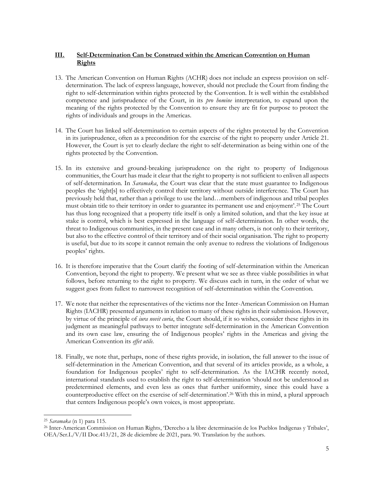## **III. Self-Determination Can be Construed within the American Convention on Human Rights**

- 13. The American Convention on Human Rights (ACHR) does not include an express provision on selfdetermination. The lack of express language, however, should not preclude the Court from finding the right to self-determination within rights protected by the Convention. It is well within the established competence and jurisprudence of the Court, in its *pro homine* interpretation, to expand upon the meaning of the rights protected by the Convention to ensure they are fit for purpose to protect the rights of individuals and groups in the Americas.
- 14. The Court has linked self-determination to certain aspects of the rights protected by the Convention in its jurisprudence, often as a precondition for the exercise of the right to property under Article 21. However, the Court is yet to clearly declare the right to self-determination as being within one of the rights protected by the Convention.
- 15. In its extensive and ground-breaking jurisprudence on the right to property of Indigenous communities, the Court has made it clear that the right to property is not sufficient to enliven all aspects of self-determination. In *Saramaka*, the Court was clear that the state must guarantee to Indigenous peoples the 'right[s] to effectively control their territory without outside interference. The Court has previously held that, rather than a privilege to use the land…members of indigenous and tribal peoples must obtain title to their territory in order to guarantee its permanent use and enjoyment'.<sup>25</sup> The Court has thus long recognized that a property title itself is only a limited solution, and that the key issue at stake is control, which is best expressed in the language of self-determination. In other words, the threat to Indigenous communities, in the present case and in many others, is not only to their territory, but also to the effective control of their territory and of their social organisation. The right to property is useful, but due to its scope it cannot remain the only avenue to redress the violations of Indigenous peoples' rights.
- 16. It is therefore imperative that the Court clarify the footing of self-determination within the American Convention, beyond the right to property. We present what we see as three viable possibilities in what follows, before returning to the right to property. We discuss each in turn, in the order of what we suggest goes from fullest to narrowest recognition of self-determination within the Convention.
- 17. We note that neither the representatives of the victims nor the Inter-American Commission on Human Rights (IACHR) presented arguments in relation to many of these rights in their submission. However, by virtue of the principle of *iura novit curia*, the Court should, if it so wishes, consider these rights in its judgment as meaningful pathways to better integrate self-determination in the American Convention and its own case law, ensuring the of Indigenous peoples' rights in the Americas and giving the American Convention its *effet utile*.
- <span id="page-4-0"></span>18. Finally, we note that, perhaps, none of these rights provide, in isolation, the full answer to the issue of self-determination in the American Convention, and that several of its articles provide, as a whole, a foundation for Indigenous peoples' right to self-determination. As the IACHR recently noted, international standards used to establish the right to self-determination 'should not be understood as predetermined elements, and even less as ones that further uniformity, since this could have a counterproductive effect on the exercise of self-determination'. <sup>26</sup> With this in mind, a plural approach that centers Indigenous people's own voices, is most appropriate.

<sup>25</sup> *Saramaka* (n [1\)](#page-1-0) para 115.

<sup>26</sup> Inter-American Commission on Human Rights, 'Derecho a la libre determinación de los Pueblos Indígenas y Tribales', OEA/Ser.L/V/II Doc.413/21, 28 de diciembre de 2021, para. 90. Translation by the authors.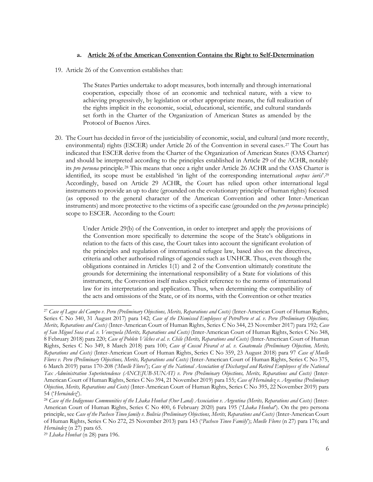#### **a. Article 26 of the American Convention Contains the Right to Self-Determination**

19. Article 26 of the Convention establishes that:

<span id="page-5-0"></span>The States Parties undertake to adopt measures, both internally and through international cooperation, especially those of an economic and technical nature, with a view to achieving progressively, by legislation or other appropriate means, the full realization of the rights implicit in the economic, social, educational, scientific, and cultural standards set forth in the Charter of the Organization of American States as amended by the Protocol of Buenos Aires.

20. The Court has decided in favor of the justiciability of economic, social, and cultural (and more recently, environmental) rights (ESCER) under Article 26 of the Convention in several cases.<sup>27</sup> The Court has indicated that ESCER derive from the Charter of the Organization of American States (OAS Charter) and should be interpreted according to the principles established in Article 29 of the ACHR, notably its *pro persona* principle.<sup>28</sup> This means that once a right under Article 26 ACHR and the OAS Charter is identified, its scope must be established 'in light of the corresponding international *corpus iuris*'.<sup>29</sup> Accordingly, based on Article 29 ACHR, the Court has relied upon other international legal instruments to provide an up to date (grounded on the evolutionary principle of human rights) focused (as opposed to the general character of the American Convention and other Inter-American instruments) and more protective to the victims of a specific case (grounded on the *pro persona* principle) scope to ESCER. According to the Court:

> <span id="page-5-1"></span>Under Article 29(b) of the Convention, in order to interpret and apply the provisions of the Convention more specifically to determine the scope of the State's obligations in relation to the facts of this case, the Court takes into account the significant evolution of the principles and regulation of international refugee law, based also on the directives, criteria and other authorised rulings of agencies such as UNHCR. Thus, even though the obligations contained in Articles 1(1) and 2 of the Convention ultimately constitute the grounds for determining the international responsibility of a State for violations of this instrument, the Convention itself makes explicit reference to the norms of international law for its interpretation and application. Thus, when determining the compatibility of the acts and omissions of the State, or of its norms, with the Convention or other treaties

<sup>27</sup> *Case of Lagos del Campo v. Peru (Preliminary Objections, Merits, Reparations and Costs)* (Inter-American Court of Human Rights, Series C No 340, 31 August 2017) para 142; *Case of the Dismissed Employees of PetroPeru et al. v. Peru (Preliminary Objections*, *Merits, Reparations and Costs)* (Inter-American Court of Human Rights, Series C No 344, 23 November 2017) para 192; *Case of San Miguel Sosa et al. v. Venezuela (Merits, Reparations and Costs)* (Inter-American Court of Human Rights, Series C No 348, 8 February 2018) para 220; *Case of Poblete Vilches et al. v. Chile (Merits, Reparations and Costs)* (Inter-American Court of Human Rights, Series C No 349, 8 March 2018) para 100; *Case of Cuscul Pivaral et al. v. Guatemala (Preliminary Objection, Merits, Reparations and Costs)* (Inter-American Court of Human Rights, Series C No 359, 23 August 2018) para 97 *Case of Muelle Flores v. Peru (Preliminary Objections, Merits, Reparations and Costs)* (Inter-American Court of Human Rights, Series C No 375, 6 March 2019) paras 170-208 ('*Muelle Flores*'); *Case of the National Association of Discharged and Retired Employees of the National Tax Administration Superintendence (ANCEJUB-SUNAT) v. Peru (Preliminary Objections, Merits, Reparations and Costs)* (Inter-American Court of Human Rights, Series C No 394, 21 November 2019) para 155; *Case of Hernández v. Argentina (Preliminary Objection, Merits, Reparations and Costs)* (Inter-American Court of Human Rights, Series C No 395, 22 November 2019) para 54 ('*Hernández*').

<sup>28</sup> *Case of the Indigenous Communities of the Lhaka Honhat (Our Land) Association v. Argentina (Merits, Reparations and Costs)* (Inter-American Court of Human Rights, Series C No 400, 6 February 2020) para 195 ('*Lhaka Honhat*'). On the pro persona principle, see *Case of the Pacheco Tineo family v. Bolivia (Preliminary Objections, Merits, Reparations and Costs)* (Inter-American Court of Human Rights, Series C No 272, 25 November 2013) para 143 ('*Pacheco Tineo Family*'); *Muelle Flores* ([n 27\)](#page-5-0) para 176; and *Hernández* ([n 27\)](#page-5-0) para 65.

<sup>29</sup> *Lhaka Honhat* (n [28\)](#page-5-1) para 196.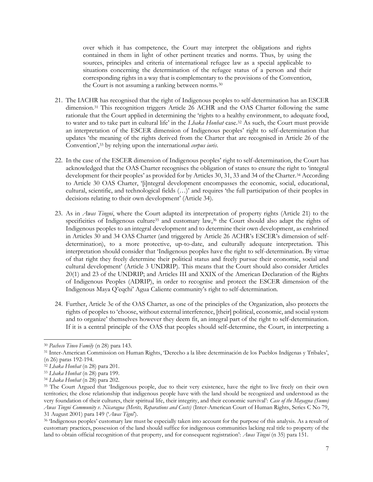over which it has competence, the Court may interpret the obligations and rights contained in them in light of other pertinent treaties and norms. Thus, by using the sources, principles and criteria of international refugee law as a special applicable to situations concerning the determination of the refugee status of a person and their corresponding rights in a way that is complementary to the provisions of the Convention, the Court is not assuming a ranking between norms.<sup>30</sup>

- 21. The IACHR has recognised that the right of Indigenous peoples to self-determination has an ESCER dimension.<sup>31</sup> This recognition triggers Article 26 ACHR and the OAS Charter following the same rationale that the Court applied in determining the 'rights to a healthy environment, to adequate food, to water and to take part in cultural life' in the *Lhaka Honhat* case.<sup>32</sup> As such, the Court must provide an interpretation of the ESCER dimension of Indigenous peoples' right to self-determination that updates 'the meaning of the rights derived from the Charter that are recognised in Article 26 of the Convention',<sup>33</sup> by relying upon the international *corpus iuris*.
- 22. In the case of the ESCER dimension of Indigenous peoples' right to self-determination, the Court has acknowledged that the OAS Charter recognises the obligation of states to ensure the right to 'integral development for their peoples' as provided for by Articles 30, 31, 33 and 34 of the Charter.<sup>34</sup> According to Article 30 OAS Charter, '[i]ntegral development encompasses the economic, social, educational, cultural, scientific, and technological fields (…)' and requires 'the full participation of their peoples in decisions relating to their own development' (Article 34).
- <span id="page-6-0"></span>23. As in *Awas Tingni*, where the Court adapted its interpretation of property rights (Article 21) to the specificities of Indigenous culture<sup>35</sup> and customary law,<sup>36</sup> the Court should also adapt the rights of Indigenous peoples to an integral development and to determine their own development, as enshrined in Articles 30 and 34 OAS Charter (and triggered by Article 26 ACHR's ESCER's dimension of selfdetermination), to a more protective, up-to-date, and culturally adequate interpretation. This interpretation should consider that 'Indigenous peoples have the right to self-determination. By virtue of that right they freely determine their political status and freely pursue their economic, social and cultural development' (Article 3 UNDRIP). This means that the Court should also consider Articles 20(1) and 23 of the UNDRIP; and Articles III and XXIX of the American Declaration of the Rights of Indigenous Peoples (ADRIP), in order to recognise and protect the ESCER dimension of the Indigenous Maya Q'eqchi' Agua Caliente community's right to self-determination.
- 24. Further, Article 3e of the OAS Charter, as one of the principles of the Organization, also protects the rights of peoples to 'choose, without external interference, [their] political, economic, and social system and to organize' themselves however they deem fit, an integral part of the right to self-determination. If it is a central principle of the OAS that peoples should self-determine, the Court, in interpreting a

<sup>30</sup> *Pacheco Tineo Family* ([n 28\)](#page-5-1) para 143.

<sup>31</sup> Inter-American Commission on Human Rights, 'Derecho a la libre determinación de los Pueblos Indígenas y Tribales', ([n 26\)](#page-4-0) paras 192-194.

<sup>32</sup> *Lhaka Honhat* (n [28\)](#page-5-1) para 201.

<sup>33</sup> *Lhaka Honhat* (n [28\)](#page-5-1) para 199.

<sup>34</sup> *Lhaka Honhat* (n [28\)](#page-5-1) para 202.

<sup>35</sup> The Court Argued that 'Indigenous people, due to their very existence, have the right to live freely on their own territories; the close relationship that indigenous people have with the land should be recognized and understood as the very foundation of their cultures, their spiritual life, their integrity, and their economic survival': *Case of the Mayagna (Sumo) Awas Tingni Community v. Nicaragua (Merits, Reparations and Costs)* (Inter-American Court of Human Rights, Series C No 79, 31 August 2001) para 149 ('*Awas Tigni*').

<sup>36</sup> 'Indigenous peoples' customary law must be especially taken into account for the purpose of this analysis. As a result of customary practices, possession of the land should suffice for indigenous communities lacking real title to property of the land to obtain official recognition of that property, and for consequent registration': *Awas Tingni* (n [35\)](#page-6-0) para 151.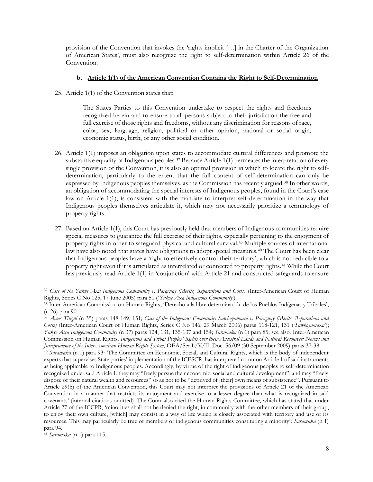provision of the Convention that invokes the 'rights implicit […] in the Charter of the Organization of American States', must also recognize the right to self-determination within Article 26 of the Convention.

#### **b. Article 1(1) of the American Convention Contains the Right to Self-Determination**

25. Article 1(1) of the Convention states that:

<span id="page-7-0"></span>The States Parties to this Convention undertake to respect the rights and freedoms recognized herein and to ensure to all persons subject to their jurisdiction the free and full exercise of those rights and freedoms, without any discrimination for reasons of race, color, sex, language, religion, political or other opinion, national or social origin, economic status, birth, or any other social condition.

- 26. Article 1(1) imposes an obligation upon states to accommodate cultural differences and promote the substantive equality of Indigenous peoples.<sup>37</sup> Because Article 1(1) permeates the interpretation of every single provision of the Convention, it is also an optimal provision in which to locate the right to selfdetermination, particularly to the extent that the full content of self-determination can only be expressed by Indigenous peoples themselves, as the Commission has recently argued.<sup>38</sup> In other words, an obligation of accommodating the special interests of Indigenous peoples, found in the Court's case law on Article 1(1), is consistent with the mandate to interpret self-determination in the way that Indigenous peoples themselves articulate it, which may not necessarily prioritize a terminology of property rights.
- <span id="page-7-1"></span>27. Based on Article 1(1), this Court has previously held that members of Indigenous communities require special measures to guarantee the full exercise of their rights, especially pertaining to the enjoyment of property rights in order to safeguard physical and cultural survival.<sup>39</sup> Multiple sources of international law have also noted that states have obligations to adopt special measures.<sup>40</sup> The Court has been clear that Indigenous peoples have a 'right to effectively control their territory', which is not reducible to a property right even if it is articulated as interrelated or connected to property rights.<sup>41</sup> While the Court has previously read Article 1(1) in 'conjunction' with Article 21 and constructed safeguards to ensure

<sup>37</sup> *Case of the Yakye Axa Indigenous Community v. Paraguay (Merits, Reparations and Costs)* (Inter-American Court of Human Rights, Series C No 125, 17 June 2005) para 51 ('*Yakye Axa Indigenous Community*').

<sup>38</sup> Inter-American Commission on Human Rights, 'Derecho a la libre determinación de los Pueblos Indígenas y Tribales', ([n 26\)](#page-4-0) para 90.

<sup>39</sup> *Awas Tingni* (n [35\)](#page-6-0) paras 148-149, 151; *Case of the Indigenous Community Sawhoyamaxa v. Paraguay (Merits, Reparations and Costs)* (Inter-American Court of Human Rights, Series C No 146, 29 March 2006) paras 118-121, 131 ('*Sawhoyamaxa*'); *Yakye Axa Indigenous Community* (n [37\)](#page-7-0) paras 124, 131, 135-137 and 154; *Saramaka* ([n 1\)](#page-1-0) para 85; see also: Inter-American Commission on Human Rights, *Indigenous and Tribal Peoples' Rights over their Ancestral Lands and Natural Resources: Norms and Jurisprudence of the Inter-American Human Rights System*, OEA/Ser.L/V/II. Doc. 56/09 (30 September 2009) paras 37-38.

<sup>40</sup> *Saramaka* (n [1\)](#page-1-0) para 93: 'The Committee on Economic, Social, and Cultural Rights, which is the body of independent experts that supervises State parties' implementation of the ICESCR, has interpreted common Article 1 of said instruments as being applicable to Indigenous peoples. Accordingly, by virtue of the right of indigenous peoples to self-determination recognized under said Article 1, they may "freely pursue their economic, social and cultural development", and may "freely dispose of their natural wealth and resources" so as not to be "deprived of [their] own means of subsistence". Pursuant to Article 29(b) of the American Convention, this Court may not interpret the provisions of Article 21 of the American Convention in a manner that restricts its enjoyment and exercise to a lesser degree than what is recognized in said covenants' (internal citations omitted). The Court also cited the Human Rights Committee, which has stated that under Article 27 of the ICCPR, 'minorities shall not be denied the right, in community with the other members of their group, to enjoy their own culture, [which] may consist in a way of life which is closely associated with territory and use of its resources. This may particularly be true of members of indigenous communities constituting a minority': *Saramaka* (n [1\)](#page-1-0) para 94.

<sup>41</sup> *Saramaka* (n [1\)](#page-1-0) para 115.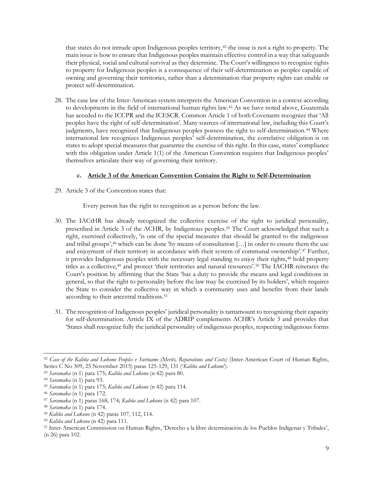<span id="page-8-0"></span>that states do not intrude upon Indigenous peoples territory,<sup>42</sup> the issue is not a right to property. The main issue is how to ensure that Indigenous peoples maintain effective control in a way that safeguards their physical, social and cultural survival as they determine. The Court's willingness to recognize rights to property for Indigenous peoples is a consequence of their self-determination as peoples capable of owning and governing their territories, rather than a determination that property rights can enable or protect self-determination.

28. The case law of the Inter-American system interprets the American Convention in a context according to developments in the field of international human rights law.<sup>43</sup> As we have noted above, Guatemala has acceded to the ICCPR and the ICESCR. Common Article 1 of both Covenants recognize that 'All peoples have the right of self-determination'. Many sources of international law, including this Court's judgments, have recognized that Indigenous peoples possess the right to self-determination.<sup>44</sup> Where international law recognizes Indigenous peoples' self-determination, the correlative obligation is on states to adopt special measures that guarantee the exercise of this right. In this case, states' compliance with this obligation under Article 1(1) of the American Convention requires that Indigenous peoples' themselves articulate their way of governing their territory.

### **c. Article 3 of the American Convention Contains the Right to Self-Determination**

29. Article 3 of the Convention states that:

Every person has the right to recognition as a person before the law.

- 30. The IACtHR has already recognized the collective exercise of the right to juridical personality, prescribed in Article 3 of the ACHR, by Indigenous peoples.<sup>45</sup> The Court acknowledged that such a right, exercised collectively, 'is one of the special measures that should be granted to the indigenous and tribal groups',<sup>46</sup> which can be done 'by means of consultation [...] in order to ensure them the use and enjoyment of their territory in accordance with their system of communal ownership'.<sup>47</sup> Further, it provides Indigenous peoples with the necessary legal standing to enjoy their rights,<sup>48</sup> hold property titles as a collective,<sup>49</sup> and protect 'their territories and natural resources'.<sup>50</sup> The IACHR reiterates the Court's position by affirming that the State 'has a duty to provide the means and legal conditions in general, so that the right to personality before the law may be exercised by its holders', which requires the State to consider the collective way in which a community uses and benefits from their lands according to their ancestral traditions.<sup>51</sup>
- 31. The recognition of Indigenous peoples' juridical personality is tantamount to recognizing their capacity for self-determination. Article IX of the ADRIP complements ACHR's Article 3 and provides that 'States shall recognize fully the juridical personality of indigenous peoples, respecting indigenous forms

<sup>42</sup> *Case of the Kaliña and Lokono Peoples v Suriname (Merits, Reparations and Costs)* (Inter-American Court of Human Rights, Series C No 309, 25 November 2015) paras 125-129, 131 ('*Kaliña and Lokono*')*.* 

<sup>43</sup> *Saramaka* (n [1\)](#page-1-0) para 175; *Kaliña and Lokono* (n [42\)](#page-8-0) para 80.

<sup>44</sup> *Saramaka* (n [1\)](#page-1-0) para 93.

<sup>45</sup> *Saramaka* (n [1\)](#page-1-0) para 175; *Kaliña and Lokono* (n [42\)](#page-8-0) para 114.

<sup>46</sup> *Saramaka* (n [1\)](#page-1-0) para 172.

<sup>47</sup> *Saramaka* (n [1\)](#page-1-0) paras 168, 174; *Kaliña and Lokono* (n [42\)](#page-8-0) para 107.

<sup>48</sup> *Saramaka* (n [1\)](#page-1-0) para 174.

<sup>49</sup> *Kaliña and Lokono* (n [42\)](#page-8-0) paras 107, 112, 114.

<sup>50</sup> *Kaliña and Lokono* (n [42\)](#page-8-0) para 111.

<sup>51</sup> Inter-American Commission on Human Rights, 'Derecho a la libre determinación de los Pueblos Indígenas y Tribales', ([n 26\)](#page-4-0) para 102.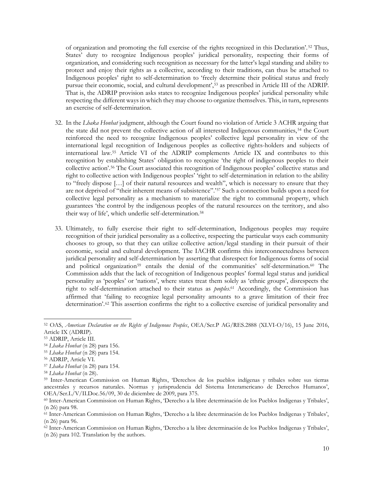of organization and promoting the full exercise of the rights recognized in this Declaration'. <sup>52</sup> Thus, States' duty to recognize Indigenous peoples' juridical personality, respecting their forms of organization, and considering such recognition as necessary for the latter's legal standing and ability to protect and enjoy their rights as a collective, according to their traditions, can thus be attached to Indigenous peoples' right to self-determination to 'freely determine their political status and freely pursue their economic, social, and cultural development',<sup>53</sup> as prescribed in Article III of the ADRIP. That is, the ADRIP provision asks states to recognize Indigenous peoples' juridical personality while respecting the different ways in which they may choose to organize themselves. This, in turn, represents an exercise of self-determination.

- 32. In the *Lhaka Honhat* judgment, although the Court found no violation of Article 3 ACHR arguing that the state did not prevent the collective action of all interested Indigenous communities, <sup>54</sup> the Court reinforced the need to recognize Indigenous peoples' collective legal personality in view of the international legal recognition of Indigenous peoples as collective rights-holders and subjects of international law.<sup>55</sup> Article VI of the ADRIP complements Article IX and contributes to this recognition by establishing States' obligation to recognize 'the right of indigenous peoples to their collective action'.<sup>56</sup> The Court associated this recognition of Indigenous peoples' collective status and right to collective action with Indigenous peoples' 'right to self-determination in relation to the ability to "freely dispose […] of their natural resources and wealth", which is necessary to ensure that they are not deprived of "their inherent means of subsistence".'<sup>57</sup> Such a connection builds upon a need for collective legal personality as a mechanism to materialize the right to communal property, which guarantees 'the control by the indigenous peoples of the natural resources on the territory, and also their way of life', which underlie self-determination.<sup>58</sup>
- 33. Ultimately, to fully exercise their right to self-determination, Indigenous peoples may require recognition of their juridical personality as a collective, respecting the particular ways each community chooses to group, so that they can utilize collective action/legal standing in their pursuit of their economic, social and cultural development. The IACHR confirms this interconnectedness between juridical personality and self-determination by asserting that disrespect for Indigenous forms of social and political organization<sup>59</sup> entails the denial of the communities' self-determination.<sup>60</sup> The Commission adds that the lack of recognition of Indigenous peoples' formal legal status and juridical personality as 'peoples' or 'nations', where states treat them solely as 'ethnic groups', disrespects the right to self-determination attached to their status as *peoples*. <sup>61</sup> Accordingly, the Commission has affirmed that 'failing to recognize legal personality amounts to a grave limitation of their free determination'.<sup>62</sup> This assertion confirms the right to a collective exercise of juridical personality and

<sup>57</sup> *Lhaka Honhat* (n [28\)](#page-5-1) para 154.

<sup>52</sup> OAS, *American Declaration on the Rights of Indigenous Peoples*, OEA/Ser.P AG/RES.2888 (XLVI-O/16), 15 June 2016, Article IX (ADRIP).

<sup>53</sup> ADRIP, Article III.

<sup>54</sup> *Lhaka Honhat* (n [28\)](#page-5-1) para 156.

<sup>55</sup> *Lhaka Honhat* (n [28\)](#page-5-1) para 154.

<sup>56</sup> ADRIP, Article VI.

<sup>58</sup> *Lhaka Honhat* (n [28\)](#page-5-1).

<sup>59</sup> Inter-American Commission on Human Rights, 'Derechos de los pueblos indígenas y tribales sobre sus tierras ancestrales y recursos naturales. Normas y jurisprudencia del Sistema Interamericano de Derechos Humanos', OEA/Ser.L/V/II.Doc.56/09, 30 de diciembre de 2009, para 375.

<sup>60</sup> Inter-American Commission on Human Rights, 'Derecho a la libre determinación de los Pueblos Indígenas y Tribales', ([n 26\)](#page-4-0) para 98.

<sup>61</sup> Inter-American Commission on Human Rights, 'Derecho a la libre determinación de los Pueblos Indígenas y Tribales', ([n 26\)](#page-4-0) para 96.

<sup>62</sup> Inter-American Commission on Human Rights, 'Derecho a la libre determinación de los Pueblos Indígenas y Tribales', ([n 26\)](#page-4-0) para 102. Translation by the authors.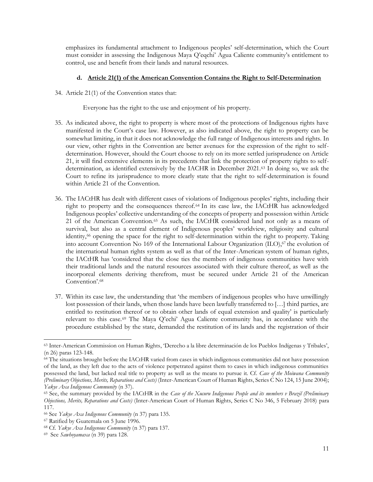emphasizes its fundamental attachment to Indigenous peoples' self-determination, which the Court must consider in assessing the Indigenous Maya Q'eqchi' Agua Caliente community's entitlement to control, use and benefit from their lands and natural resources.

#### **d. Article 21(1) of the American Convention Contains the Right to Self-Determination**

34. Article 21(1) of the Convention states that:

Everyone has the right to the use and enjoyment of his property.

- 35. As indicated above, the right to property is where most of the protections of Indigenous rights have manifested in the Court's case law. However, as also indicated above, the right to property can be somewhat limiting, in that it does not acknowledge the full range of Indigenous interests and rights. In our view, other rights in the Convention are better avenues for the expression of the right to selfdetermination. However, should the Court choose to rely on its more settled jurisprudence on Article 21, it will find extensive elements in its precedents that link the protection of property rights to selfdetermination, as identified extensively by the IACHR in December 2021.<sup>63</sup> In doing so, we ask the Court to refine its jurisprudence to more clearly state that the right to self-determination is found within Article 21 of the Convention.
- 36. The IACtHR has dealt with different cases of violations of Indigenous peoples' rights, including their right to property and the consequences thereof.<sup>64</sup> In its case law, the IACtHR has acknowledged Indigenous peoples' collective understanding of the concepts of property and possession within Article 21 of the American Convention.<sup>65</sup> As such, the IACtHR considered land not only as a means of survival, but also as a central element of Indigenous peoples' worldview, religiosity and cultural identity,<sup>66</sup> opening the space for the right to self-determination within the right to property. Taking into account Convention No 169 of the International Labour Organization (ILO),<sup>67</sup> the evolution of the international human rights system as well as that of the Inter-American system of human rights, the IACtHR has 'considered that the close ties the members of indigenous communities have with their traditional lands and the natural resources associated with their culture thereof, as well as the incorporeal elements deriving therefrom, must be secured under Article 21 of the American Convention'.<sup>68</sup>
- 37. Within its case law, the understanding that 'the members of indigenous peoples who have unwillingly lost possession of their lands, when those lands have been lawfully transferred to […] third parties, are entitled to restitution thereof or to obtain other lands of equal extension and quality' is particularly relevant to this case.<sup>69</sup> The Maya Q'echi' Agua Caliente community has, in accordance with the procedure established by the state, demanded the restitution of its lands and the registration of their

<sup>63</sup> Inter-American Commission on Human Rights, 'Derecho a la libre determinación de los Pueblos Indígenas y Tribales', ([n 26\)](#page-4-0) paras 123-148.

<sup>64</sup> The situations brought before the IACtHR varied from cases in which indigenous communities did not have possession of the land, as they left due to the acts of violence perpetrated against them to cases in which indigenous communities possessed the land, but lacked real title to property as well as the means to pursue it. Cf. *Case of the Moiwana Community (Preliminary Objections, Merits, Reparations and Costs)* (Inter-American Court of Human Rights, Series C No 124, 15 June 2004); *Yakye Axa Indigenous Community* (n [37\)](#page-7-0).

<sup>65</sup> See, the summary provided by the IACtHR in the *Case of the Xucuru Indigenous People and its members v Brazil (Preliminary Objections, Merits, Reparations and Costs)* (Inter-American Court of Human Rights, Series C No 346, 5 February 2018) para 117.

<sup>66</sup> See *Yakye Axa Indigenous Community* (n [37\)](#page-7-0) para 135.

<sup>67</sup> Ratified by Guatemala on 5 June 1996.

<sup>68</sup> Cf. *Yakye Axa Indigenous Community* (n [37\)](#page-7-0) para 137.

<sup>69</sup> See *Sawhoyamaxa* (n [39\)](#page-7-1) para 128.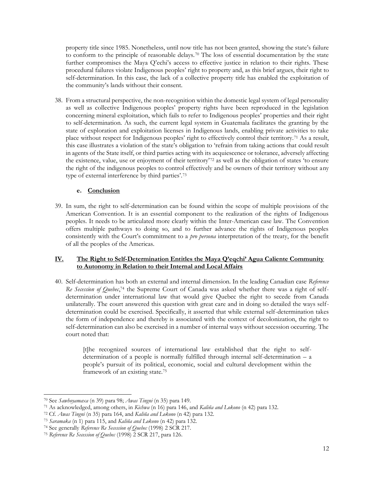property title since 1985. Nonetheless, until now title has not been granted, showing the state's failure to conform to the principle of reasonable delays.<sup>70</sup> The loss of essential documentation by the state further compromises the Maya Q'echi's access to effective justice in relation to their rights. These procedural failures violate Indigenous peoples' right to property and, as this brief argues, their right to self-determination. In this case, the lack of a collective property title has enabled the exploitation of the community's lands without their consent.

38. From a structural perspective, the non-recognition within the domestic legal system of legal personality as well as collective Indigenous peoples' property rights have been reproduced in the legislation concerning mineral exploitation, which fails to refer to Indigenous peoples' properties and their right to self-determination. As such, the current legal system in Guatemala facilitates the granting by the state of exploration and exploitation licenses in Indigenous lands, enabling private activities to take place without respect for Indigenous peoples' right to effectively control their territory.<sup>71</sup> As a result, this case illustrates a violation of the state's obligation to 'refrain from taking actions that could result in agents of the State itself, or third parties acting with its acquiescence or tolerance, adversely affecting the existence, value, use or enjoyment of their territory'<sup>72</sup> as well as the obligation of states 'to ensure the right of the indigenous peoples to control effectively and be owners of their territory without any type of external interference by third parties'.<sup>73</sup>

### **e. Conclusion**

39. In sum, the right to self-determination can be found within the scope of multiple provisions of the American Convention. It is an essential component to the realization of the rights of Indigenous peoples. It needs to be articulated more clearly within the Inter-American case law. The Convention offers multiple pathways to doing so, and to further advance the rights of Indigenous peoples consistently with the Court's commitment to a *pro persona* interpretation of the treaty, for the benefit of all the peoples of the Americas.

### **IV. The Right to Self-Determination Entitles the Maya Q'eqchi' Agua Caliente Community to Autonomy in Relation to their Internal and Local Affairs**

40. Self-determination has both an external and internal dimension. In the leading Canadian case *Reference*  Re Secession of Quebec,<sup>74</sup> the Supreme Court of Canada was asked whether there was a right of selfdetermination under international law that would give Quebec the right to secede from Canada unilaterally. The court answered this question with great care and in doing so detailed the ways selfdetermination could be exercised. Specifically, it asserted that while external self-determination takes the form of independence and thereby is associated with the context of decolonization, the right to self-determination can also be exercised in a number of internal ways without secession occurring. The court noted that:

> [t]he recognized sources of international law established that the right to selfdetermination of a people is normally fulfilled through internal self-determination – a people's pursuit of its political, economic, social and cultural development within the framework of an existing state.<sup>75</sup>

<sup>70</sup> See *Sawhoyamaxa* (n [39\)](#page-7-1) para 98; *Awas Tingni* (n [35\)](#page-6-0) para 149.

<sup>71</sup> As acknowledged, among others, in *Kichwa* (n [16\)](#page-3-0) para 146, and *Kaliña and Lokono* (n [42\)](#page-8-0) para 132.

<sup>72</sup> Cf. *Awas Tingni* (n [35\)](#page-6-0) para 164, and *Kaliña and Lokono* (n [42\)](#page-8-0) para 132.

<sup>73</sup> *Saramaka* (n [1\)](#page-1-0) para 115, and *Kaliña and Lokono* (n [42\)](#page-8-0) para 132.

<sup>74</sup> See generally *Reference Re Secession of Quebec* (1998) 2 SCR 217.

<sup>75</sup> *Reference Re Secession of Quebec* (1998) 2 SCR 217, para 126.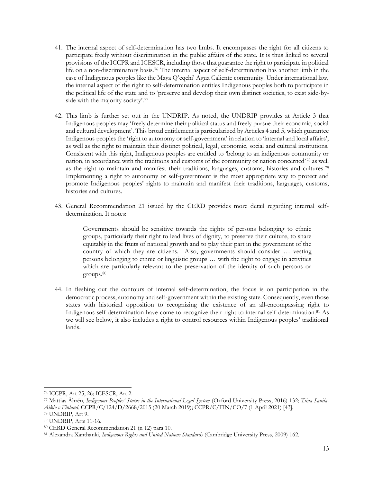- 41. The internal aspect of self-determination has two limbs. It encompasses the right for all citizens to participate freely without discrimination in the public affairs of the state. It is thus linked to several provisions of the ICCPR and ICESCR, including those that guarantee the right to participate in political life on a non-discriminatory basis.<sup>76</sup> The internal aspect of self-determination has another limb in the case of Indigenous peoples like the Maya Q'eqchi' Agua Caliente community. Under international law, the internal aspect of the right to self-determination entitles Indigenous peoples both to participate in the political life of the state and to 'preserve and develop their own distinct societies, to exist side-byside with the majority society'.<sup>77</sup>
- <span id="page-12-0"></span>42. This limb is further set out in the UNDRIP. As noted, the UNDRIP provides at Article 3 that Indigenous peoples may 'freely determine their political status and freely pursue their economic, social and cultural development'. This broad entitlement is particularized by Articles 4 and 5, which guarantee Indigenous peoples the 'right to autonomy or self-government' in relation to 'internal and local affairs', as well as the right to maintain their distinct political, legal, economic, social and cultural institutions. Consistent with this right, Indigenous peoples are entitled to 'belong to an indigenous community or nation, in accordance with the traditions and customs of the community or nation concerned'78 as well as the right to maintain and manifest their traditions, languages, customs, histories and cultures.<sup>79</sup> Implementing a right to autonomy or self-government is the most appropriate way to protect and promote Indigenous peoples' rights to maintain and manifest their traditions, languages, customs, histories and cultures.
- 43. General Recommendation 21 issued by the CERD provides more detail regarding internal selfdetermination. It notes:

Governments should be sensitive towards the rights of persons belonging to ethnic groups, particularly their right to lead lives of dignity, to preserve their culture, to share equitably in the fruits of national growth and to play their part in the government of the country of which they are citizens. Also, governments should consider … vesting persons belonging to ethnic or linguistic groups … with the right to engage in activities which are particularly relevant to the preservation of the identity of such persons or groups.<sup>80</sup>

44. In fleshing out the contours of internal self-determination, the focus is on participation in the democratic process, autonomy and self-government within the existing state. Consequently, even those states with historical opposition to recognizing the existence of an all-encompassing right to Indigenous self-determination have come to recognize their right to internal self-determination.<sup>81</sup> As we will see below, it also includes a right to control resources within Indigenous peoples' traditional lands.

<sup>76</sup> ICCPR, Art 25, 26; ICESCR, Art 2.

<sup>77</sup> Mattias Åhrén, *Indigenous Peoples' Status in the International Legal System* (Oxford University Press, 2016) 132; *Tiina Sanila-Aikio v Finland*, CCPR/C/124/D/2668/2015 (20 March 2019); CCPR/C/FIN/CO/7 (1 April 2021) [43].

<sup>78</sup> UNDRIP, Art 9.

<sup>79</sup> UNDRIP, Arts 11-16.

<sup>80</sup> CERD General Recommendation 21 (n [12\)](#page-2-1) para 10.

<sup>81</sup> Alexandra Xanthanki, *Indigenous Rights and United Nations Standards* (Cambridge University Press, 2009) 162.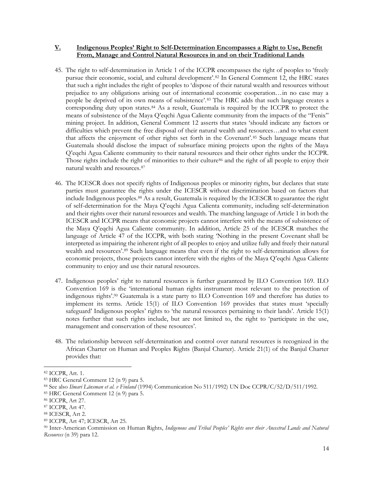#### **V. Indigenous Peoples' Right to Self-Determination Encompasses a Right to Use, Benefit From, Manage and Control Natural Resources in and on their Traditional Lands**

- 45. The right to self-determination in Article 1 of the ICCPR encompasses the right of peoples to 'freely pursue their economic, social, and cultural development'.<sup>82</sup> In General Comment 12, the HRC states that such a right includes the right of peoples to 'dispose of their natural wealth and resources without prejudice to any obligations arising out of international economic cooperation…in no case may a people be deprived of its own means of subsistence'.<sup>83</sup> The HRC adds that such language creates a corresponding duty upon states.<sup>84</sup> As a result, Guatemala is required by the ICCPR to protect the means of subsistence of the Maya Q'eqchi Agua Caliente community from the impacts of the "Fenix" mining project. In addition, General Comment 12 asserts that states 'should indicate any factors or difficulties which prevent the free disposal of their natural wealth and resources…and to what extent that affects the enjoyment of other rights set forth in the Covenant'.<sup>85</sup> Such language means that Guatemala should disclose the impact of subsurface mining projects upon the rights of the Maya Q'eqchi Agua Caliente community to their natural resources and their other rights under the ICCPR. Those rights include the right of minorities to their culture<sup>86</sup> and the right of all people to enjoy their natural wealth and resources.<sup>87</sup>
- 46. The ICESCR does not specify rights of Indigenous peoples or minority rights, but declares that state parties must guarantee the rights under the ICESCR without discrimination based on factors that include Indigenous peoples.<sup>88</sup> As a result, Guatemala is required by the ICESCR to guarantee the right of self-determination for the Maya Q'eqchi Agua Calienta community, including self-determination and their rights over their natural resources and wealth. The matching language of Article 1 in both the ICESCR and ICCPR means that economic projects cannot interfere with the means of subsistence of the Maya Q'eqchi Agua Caliente community. In addition, Article 25 of the ICESCR matches the language of Article 47 of the ICCPR, with both stating 'Nothing in the present Covenant shall be interpreted as impairing the inherent right of all peoples to enjoy and utilize fully and freely their natural wealth and resources'.<sup>89</sup> Such language means that even if the right to self-determination allows for economic projects, those projects cannot interfere with the rights of the Maya Q'eqchi Agua Caliente community to enjoy and use their natural resources.
- 47. Indigenous peoples' right to natural resources is further guaranteed by ILO Convention 169. ILO Convention 169 is the 'international human rights instrument most relevant to the protection of indigenous rights'.<sup>90</sup> Guatemala is a state party to ILO Convention 169 and therefore has duties to implement its terms. Article 15(1) of ILO Convention 169 provides that states must 'specially safeguard' Indigenous peoples' rights to 'the natural resources pertaining to their lands'. Article 15(1) notes further that such rights include, but are not limited to, the right to 'participate in the use, management and conservation of these resources'.
- 48. The relationship between self-determination and control over natural resources is recognized in the African Charter on Human and Peoples Rights (Banjul Charter). Article 21(1) of the Banjul Charter provides that:

<sup>82</sup> ICCPR, Art. 1.

<sup>83</sup> HRC General Comment 12 ([n 9\)](#page-2-0) para 5.

<sup>84</sup> See also *Ilmari Länsman et al. v Finland* (1994) Communication No 511/1992) UN Doc CCPR/C/52/D/511/1992.

<sup>85</sup> HRC General Comment 12 ([n 9\)](#page-2-0) para 5.

<sup>86</sup> ICCPR, Art 27.

<sup>87</sup> ICCPR, Art 47.

<sup>88</sup> ICESCR, Art 2.

<sup>89</sup> ICCPR, Art 47; ICESCR, Art 25.

<sup>90</sup> Inter-American Commission on Human Rights, *Indigenous and Tribal Peoples' Rights over their Ancestral Lands and Natural Resources* ([n 39\)](#page-7-1) para 12.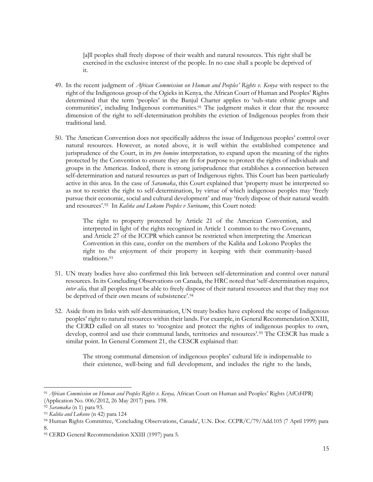<span id="page-14-0"></span>[a]ll peoples shall freely dispose of their wealth and natural resources. This right shall be exercised in the exclusive interest of the people. In no case shall a people be deprived of it.

- 49. In the recent judgment of *African Commission on Human and Peoples' Rights v. Kenya* with respect to the right of the Indigenous group of the Ogieks in Kenya*,* the African Court of Human and Peoples' Rights determined that the term 'peoples' in the Banjul Charter applies to 'sub-state ethnic groups and communities', including Indigenous communities.<sup>91</sup> The judgment makes it clear that the resource dimension of the right to self-determination prohibits the eviction of Indigenous peoples from their traditional land.
- 50. The American Convention does not specifically address the issue of Indigenous peoples' control over natural resources. However, as noted above, it is well within the established competence and jurisprudence of the Court, in its *pro homine* interpretation, to expand upon the meaning of the rights protected by the Convention to ensure they are fit for purpose to protect the rights of individuals and groups in the Americas. Indeed, there is strong jurisprudence that establishes a connection between self-determination and natural resources as part of Indigenous rights. This Court has been particularly active in this area. In the case of *Saramaka*, this Court explained that 'property must be interpreted so as not to restrict the right to self-determination, by virtue of which indigenous peoples may 'freely pursue their economic, social and cultural development' and may 'freely dispose of their natural wealth and resources'.<sup>92</sup> In *Kaliňa and Lokono Peoples v Suriname*, this Court noted:

The right to property protected by Article 21 of the American Convention, and interpreted in light of the rights recognized in Article 1 common to the two Covenants, and Article 27 of the ICCPR which cannot be restricted when interpreting the American Convention in this case, confer on the members of the Kaliňa and Lokono Peoples the right to the enjoyment of their property in keeping with their community-based traditions.<sup>93</sup>

- 51. UN treaty bodies have also confirmed this link between self-determination and control over natural resources. In its Concluding Observations on Canada, the HRC noted that 'self-determination requires, *inter alia*, that all peoples must be able to freely dispose of their natural resources and that they may not be deprived of their own means of subsistence'.<sup>94</sup>
- 52. Aside from its links with self-determination, UN treaty bodies have explored the scope of Indigenous peoples' right to natural resources within their lands. For example, in General Recommendation XXIII, the CERD called on all states to 'recognize and protect the rights of indigenous peoples to own, develop, control and use their communal lands, territories and resources'.<sup>95</sup> The CESCR has made a similar point. In General Comment 21, the CESCR explained that:

The strong communal dimension of indigenous peoples' cultural life is indispensable to their existence, well-being and full development, and includes the right to the lands,

<sup>91</sup> *African Commission on Human and Peoples Rights v. Kenya,* African Court on Human and Peoples' Rights (AfCtHPR) (Application No. 006/2012, 26 May 2017) para. 198.

<sup>92</sup> *Saramaka* (n [1\)](#page-1-0) para 93.

<sup>93</sup> *Kaliňa and Lokono* (n [42\)](#page-8-0) para 124

<sup>94</sup> Human Rights Committee, 'Concluding Observations, Canada', U.N. Doc. CCPR/C/79/Add.105 (7 April 1999) para 8.

<sup>95</sup> CERD General Recommendation XXIII (1997) para 5.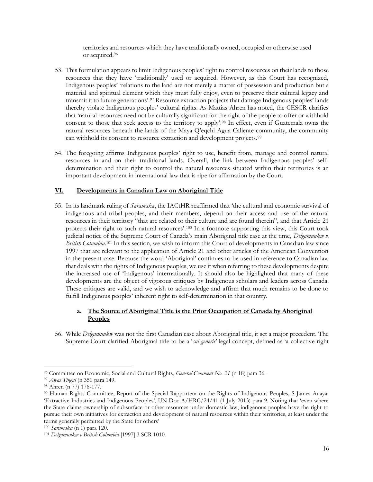territories and resources which they have traditionally owned, occupied or otherwise used or acquired.<sup>96</sup>

- 53. This formulation appears to limit Indigenous peoples' right to control resources on their lands to those resources that they have 'traditionally' used or acquired. However, as this Court has recognized, Indigenous peoples' 'relations to the land are not merely a matter of possession and production but a material and spiritual element which they must fully enjoy, even to preserve their cultural legacy and transmit it to future generations'.<sup>97</sup> Resource extraction projects that damage Indigenous peoples' lands thereby violate Indigenous peoples' cultural rights. As Mattias Ahren has noted, the CESCR clarifies that 'natural resources need not be culturally significant for the right of the people to offer or withhold consent to those that seek access to the territory to apply'.<sup>98</sup> In effect, even if Guatemala owns the natural resources beneath the lands of the Maya Q'eqchi Agua Caliente community, the community can withhold its consent to resource extraction and development projects.<sup>99</sup>
- 54. The foregoing affirms Indigenous peoples' right to use, benefit from, manage and control natural resources in and on their traditional lands. Overall, the link between Indigenous peoples' selfdetermination and their right to control the natural resources situated within their territories is an important development in international law that is ripe for affirmation by the Court.

## **VI. Developments in Canadian Law on Aboriginal Title**

55. In its landmark ruling of *Saramaka*, the IACtHR reaffirmed that 'the cultural and economic survival of indigenous and tribal peoples, and their members, depend on their access and use of the natural resources in their territory "that are related to their culture and are found therein", and that Article 21 protects their right to such natural resources'.<sup>100</sup> In a footnote supporting this view, this Court took judicial notice of the Supreme Court of Canada's main Aboriginal title case at the time, *Delgamuukw v.*  British Columbia.<sup>101</sup> In this section, we wish to inform this Court of developments in Canadian law since 1997 that are relevant to the application of Article 21 and other articles of the American Convention in the present case. Because the word 'Aboriginal' continues to be used in reference to Canadian law that deals with the rights of Indigenous peoples, we use it when referring to these developments despite the increased use of 'Indigenous' internationally. It should also be highlighted that many of these developments are the object of vigorous critiques by Indigenous scholars and leaders across Canada. These critiques are valid, and we wish to acknowledge and affirm that much remains to be done to fulfill Indigenous peoples' inherent right to self-determination in that country.

## **a. The Source of Aboriginal Title is the Prior Occupation of Canada by Aboriginal Peoples**

56. While *Delgamuukw* was not the first Canadian case about Aboriginal title, it set a major precedent. The Supreme Court clarified Aboriginal title to be a '*sui generis*' legal concept, defined as 'a collective right

<sup>100</sup> *Saramaka* (n [1\)](#page-1-0) para 120.

<sup>96</sup> Committee on Economic, Social and Cultural Rights, *General Comment No. 21* ([n 18\)](#page-3-1) para 36.

<sup>97</sup> *Awas Tingni* (n [350](#page-6-0) para 149.

<sup>98</sup> Ahren (n [77\)](#page-12-0) 176-177.

<sup>99</sup> Human Rights Committee, Report of the Special Rapporteur on the Rights of Indigenous Peoples, S James Anaya: 'Extractive Industries and Indigenous Peoples', UN Doc A/HRC/24/41 (1 July 2013) para 9. Noting that 'even where the State claims ownership of subsurface or other resources under domestic law, indigenous peoples have the right to pursue their own initiatives for extraction and development of natural resources within their territories, at least under the terms generally permitted by the State for others'

<sup>101</sup> *Delgamuukw v British Columbia* [1997] 3 SCR 1010.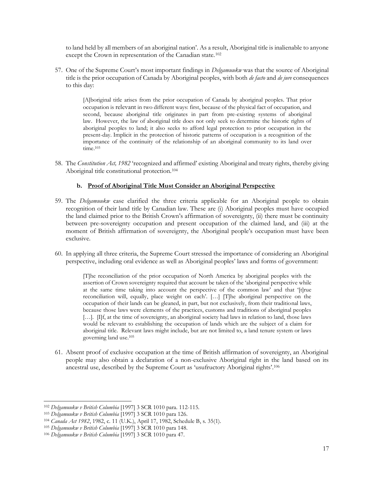to land held by all members of an aboriginal nation'. As a result, Aboriginal title is inalienable to anyone except the Crown in representation of the Canadian state.<sup>102</sup>

57. One of the Supreme Court's most important findings in *Delgamuukw* was that the source of Aboriginal title is the prior occupation of Canada by Aboriginal peoples, with both *de facto* and *de jure* consequences to this day:

> [A]boriginal title arises from the prior occupation of Canada by aboriginal peoples. That prior occupation is relevant in two different ways: first, because of the physical fact of occupation, and second, because aboriginal title originates in part from pre-existing systems of aboriginal law. However, the law of aboriginal title does not only seek to determine the historic rights of aboriginal peoples to land; it also seeks to afford legal protection to prior occupation in the present-day. Implicit in the protection of historic patterns of occupation is a recognition of the importance of the continuity of the relationship of an aboriginal community to its land over  $time<sup>103</sup>$

58. The *Constitution Act, 1982* 'recognized and affirmed' existing Aboriginal and treaty rights, thereby giving Aboriginal title constitutional protection.<sup>104</sup>

#### **b. Proof of Aboriginal Title Must Consider an Aboriginal Perspective**

- 59. The *Delgamuukw* case clarified the three criteria applicable for an Aboriginal people to obtain recognition of their land title by Canadian law. These are (i) Aboriginal peoples must have occupied the land claimed prior to the British Crown's affirmation of sovereignty, (ii) there must be continuity between pre-sovereignty occupation and present occupation of the claimed land, and (iii) at the moment of British affirmation of sovereignty, the Aboriginal people's occupation must have been exclusive.
- 60. In applying all three criteria, the Supreme Court stressed the importance of considering an Aboriginal perspective, including oral evidence as well as Aboriginal peoples' laws and forms of government:

[T]he reconciliation of the prior occupation of North America by aboriginal peoples with the assertion of Crown sovereignty required that account be taken of the 'aboriginal perspective while at the same time taking into account the perspective of the common law' and that '[t]rue reconciliation will, equally, place weight on each'. […] [T]he aboriginal perspective on the occupation of their lands can be gleaned, in part, but not exclusively, from their traditional laws, because those laws were elements of the practices, customs and traditions of aboriginal peoples […]. [I]f, at the time of sovereignty, an aboriginal society had laws in relation to land, those laws would be relevant to establishing the occupation of lands which are the subject of a claim for aboriginal title. Relevant laws might include, but are not limited to, a land tenure system or laws governing land use.<sup>105</sup>

61. Absent proof of exclusive occupation at the time of British affirmation of sovereignty, an Aboriginal people may also obtain a declaration of a non-exclusive Aboriginal right in the land based on its ancestral use, described by the Supreme Court as 'usufructory Aboriginal rights'. 106

<sup>102</sup> *Delgamuukw v British Columbia* [1997] 3 SCR 1010 para. 112-115.

<sup>103</sup> *Delgamuukw v British Columbia* [1997] 3 SCR 1010 para 126.

<sup>104</sup> *Canada Act 1982*, 1982, c. 11 (U.K.), April 17, 1982, Schedule B, s. 35(1).

<sup>105</sup> *Delgamuukw v British Columbia* [1997] 3 SCR 1010 para 148.

<sup>106</sup> *Delgamuukw v British Columbia* [1997] 3 SCR 1010 para 47.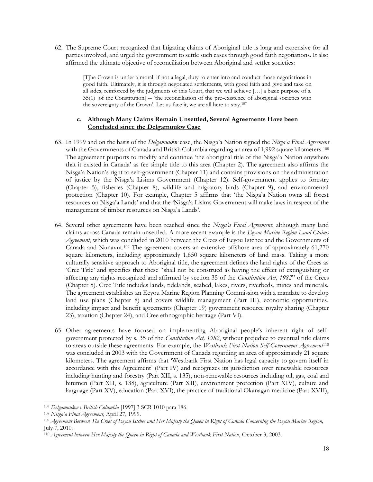62. The Supreme Court recognized that litigating claims of Aboriginal title is long and expensive for all parties involved, and urged the government to settle such cases through good faith negotiations. It also affirmed the ultimate objective of reconciliation between Aboriginal and settler societies:

> [T]he Crown is under a moral, if not a legal, duty to enter into and conduct those negotiations in good faith. Ultimately, it is through negotiated settlements, with good faith and give and take on all sides, reinforced by the judgments of this Court, that we will achieve […] a basic purpose of s. 35(1) [of the Constitution] -- 'the reconciliation of the pre-existence of aboriginal societies with the sovereignty of the Crown'. Let us face it, we are all here to stay.<sup>107</sup>

### **c. Although Many Claims Remain Unsettled, Several Agreements Have been Concluded since the Delgamuukw Case**

- 63. In 1999 and on the basis of the *Delgamuukw* case, the Nisga'a Nation signed the *Nisga'a Final Agreement*  with the Governments of Canada and British Columbia regarding an area of 1,992 square kilometers.<sup>108</sup> The agreement purports to modify and continue 'the aboriginal title of the Nisga'a Nation anywhere that it existed in Canada' as fee simple title to this area (Chapter 2). The agreement also affirms the Nisga'a Nation's right to self-government (Chapter 11) and contains provisions on the administration of justice by the Nisga'a Lisims Government (Chapter 12). Self-government applies to forestry (Chapter 5), fisheries (Chapter 8), wildlife and migratory birds (Chapter 9), and environmental protection (Chapter 10). For example, Chapter 5 affirms that 'the Nisga'a Nation owns all forest resources on Nisga'a Lands' and that the 'Nisga'a Lisims Government will make laws in respect of the management of timber resources on Nisga'a Lands'.
- 64. Several other agreements have been reached since the *Nisga'a Final Agreement*, although many land claims across Canada remain unsettled*.* A more recent example is the *Eeyou Marine Region Land Claims Agreement*, which was concluded in 2010 between the Crees of Eeyou Istchee and the Governments of Canada and Nunavut.<sup>109</sup> The agreement covers an extensive offshore area of approximately 61,270 square kilometers, including approximately 1,650 square kilometers of land mass. Taking a more culturally sensitive approach to Aboriginal title, the agreement defines the land rights of the Crees as 'Cree Title' and specifies that these "shall not be construed as having the effect of extinguishing or affecting any rights recognized and affirmed by section 35 of the *Constitution Act, 1982*" of the Crees (Chapter 5). Cree Title includes lands, tidelands, seabed, lakes, rivers, riverbeds, mines and minerals. The agreement establishes an Eeyou Marine Region Planning Commission with a mandate to develop land use plans (Chapter 8) and covers wildlife management (Part III), economic opportunities, including impact and benefit agreements (Chapter 19) government resource royalty sharing (Chapter 23), taxation (Chapter 24), and Cree ethnographic heritage (Part VI).
- 65. Other agreements have focused on implementing Aboriginal people's inherent right of selfgovernment protected by s. 35 of the *Constitution Act, 1982*, without prejudice to eventual title claims to areas outside these agreements. For example, the *Westbank First Nation Self-Government Agreement*<sup>110</sup> was concluded in 2003 with the Government of Canada regarding an area of approximately 21 square kilometers. The agreement affirms that 'Westbank First Nation has legal capacity to govern itself in accordance with this Agreement' (Part IV) and recognizes its jurisdiction over renewable resources including hunting and forestry (Part XII, s. 135), non-renewable resources including oil, gas, coal and bitumen (Part XII, s. 138), agriculture (Part XII), environment protection (Part XIV), culture and language (Part XV), education (Part XVI), the practice of traditional Okanagan medicine (Part XVII),

<sup>107</sup> *Delgamuukw v British Columbia* [1997] 3 SCR 1010 para 186.

<sup>108</sup> *Nisga'a Final Agreement*, April 27, 1999.

<sup>109</sup> *Agreement Between The Crees of Eeyou Istchee and Her Majesty the Queen in Right of Canada Concerning the Eeyou Marine Region,*  July 7, 2010*.*

<sup>110</sup> *Agreement between Her Majesty the Queen in Right of Canada and Westbank First Nation*, October 3, 2003.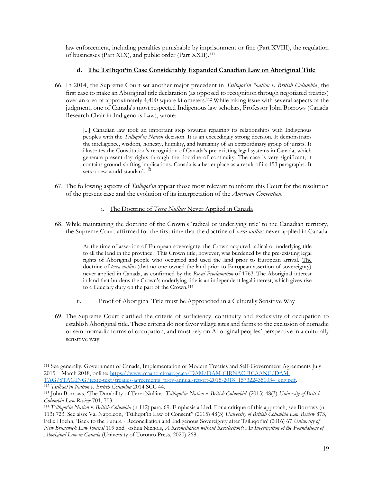law enforcement, including penalties punishable by imprisonment or fine (Part XVIII), the regulation of businesses (Part XIX), and public order (Part XXII).<sup>111</sup>

## **d. The Tsilhqot'in Case Considerably Expanded Canadian Law on Aboriginal Title**

66. In 2014, the Supreme Court set another major precedent in *Tsilhqot'in Nation v. British Columbia*, the first case to make an Aboriginal title declaration (as opposed to recognition through negotiated treaties) over an area of approximately 4,400 square kilometers.<sup>112</sup> While taking issue with several aspects of the judgment, one of Canada's most respected Indigenous law scholars, Professor John Borrows (Canada Research Chair in Indigenous Law), wrote:

> <span id="page-18-1"></span><span id="page-18-0"></span>[...] Canadian law took an important step towards repairing its relationships with Indigenous peoples with the *Tsilhqot'in Nation* decision. It is an exceedingly strong decision. It demonstrates the intelligence, wisdom, honesty, humility, and humanity of an extraordinary group of jurists. It illustrates the Constitution's recognition of Canada's pre-existing legal systems in Canada, which generate present-day rights through the doctrine of continuity. The case is very significant; it contains ground-shifting implications. Canada is a better place as a result of its 153 paragraphs. It sets a new world standard.<sup>113</sup>

- 67. The following aspects of *Tsilhqot'in* appear those most relevant to inform this Court for the resolution of the present case and the evolution of its interpretation of the *American Convention*.
	- i. The Doctrine of *Terra Nullius* Never Applied in Canada
- 68. While maintaining the doctrine of the Crown's 'radical or underlying title' to the Canadian territory, the Supreme Court affirmed for the first time that the doctrine of *terra nullius* never applied in Canada:

At the time of assertion of European sovereignty, the Crown acquired radical or underlying title to all the land in the province. This Crown title, however, was burdened by the pre-existing legal rights of Aboriginal people who occupied and used the land prior to European arrival. The doctrine of *terra nullius* (that no one owned the land prior to European assertion of sovereignty) never applied in Canada, as confirmed by the *Royal Proclamation* of 1763. The Aboriginal interest in land that burdens the Crown's underlying title is an independent legal interest, which gives rise to a fiduciary duty on the part of the Crown.<sup>114</sup>

- ii. Proof of Aboriginal Title must be Approached in a Culturally Sensitive Way
- 69. The Supreme Court clarified the criteria of sufficiency, continuity and exclusivity of occupation to establish Aboriginal title. These criteria do not favor village sites and farms to the exclusion of nomadic or semi-nomadic forms of occupation, and must rely on Aboriginal peoples' perspective in a culturally sensitive way:

<sup>111</sup> See generally: Government of Canada, Implementation of Modern Treaties and Self-Government Agreements July 2015 – March 2018, online[: https://www.rcaanc-cirnac.gc.ca/DAM/DAM-CIRNAC-RCAANC/DAM-](https://www.rcaanc-cirnac.gc.ca/DAM/DAM-CIRNAC-RCAANC/DAM-TAG/STAGING/texte-text/treaties-agreements_prov-annual-report-2015-2018_1573224351034_eng.pdf)[TAG/STAGING/texte-text/treaties-agreements\\_prov-annual-report-2015-2018\\_1573224351034\\_eng.pdf.](https://www.rcaanc-cirnac.gc.ca/DAM/DAM-CIRNAC-RCAANC/DAM-TAG/STAGING/texte-text/treaties-agreements_prov-annual-report-2015-2018_1573224351034_eng.pdf)

<sup>112</sup> *Tsilhqot'in Nation v. British Columbia* 2014 SCC 44.

<sup>113</sup> John Borrows, 'The Durability of Terra Nullius: *Tsilhqot'in Nation v. British Columbia*' (2015) 48(3) *University of British Columbia Law Review* 701, 703.

<sup>114</sup> *Tsilhqot'in Nation v. British Columbia* (n [112\)](#page-18-0) para. 69. Emphasis added. For a critique of this approach, see Borrows (n [113](#page-18-1)) 723. See also: Val Napoleon, 'Tsilhqot'in Law of Consent" (2015) 48(3) *University of British Columbia Law Review* 873, Felix Hoehn, 'Back to the Future - Reconciliation and Indigenous Sovereignty after Tsilhqot'in' (2016) 67 *University of New Brunswick Law Journal* 109 and Joshua Nichols, *A Reconciliation without Recollection?: An Investigation of the Foundations of Aboriginal Law in Canada* (University of Toronto Press, 2020) 268.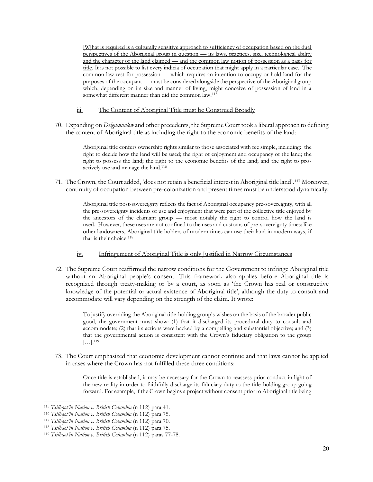[W]hat is required is a culturally sensitive approach to sufficiency of occupation based on the dual perspectives of the Aboriginal group in question — its laws, practices, size, technological ability and the character of the land claimed — and the common law notion of possession as a basis for title. It is not possible to list every indicia of occupation that might apply in a particular case. The common law test for possession — which requires an intention to occupy or hold land for the purposes of the occupant — must be considered alongside the perspective of the Aboriginal group which, depending on its size and manner of living, might conceive of possession of land in a somewhat different manner than did the common law.<sup>115</sup>

#### iii. The Content of Aboriginal Title must be Construed Broadly

70. Expanding on *Delgamuukw* and other precedents, the Supreme Court took a liberal approach to defining the content of Aboriginal title as including the right to the economic benefits of the land:

> Aboriginal title confers ownership rights similar to those associated with fee simple, including: the right to decide how the land will be used; the right of enjoyment and occupancy of the land; the right to possess the land; the right to the economic benefits of the land; and the right to proactively use and manage the land.<sup>116</sup>

71. The Crown, the Court added, 'does not retain a beneficial interest in Aboriginal title land'.<sup>117</sup> Moreover, continuity of occupation between pre-colonization and present times must be understood dynamically:

> Aboriginal title post-sovereignty reflects the fact of Aboriginal occupancy pre-sovereignty, with all the pre-sovereignty incidents of use and enjoyment that were part of the collective title enjoyed by the ancestors of the claimant group — most notably the right to control how the land is used. However, these uses are not confined to the uses and customs of pre-sovereignty times; like other landowners, Aboriginal title holders of modern times can use their land in modern ways, if that is their choice.<sup>118</sup>

#### iv. Infringement of Aboriginal Title is only Justified in Narrow Circumstances

72. The Supreme Court reaffirmed the narrow conditions for the Government to infringe Aboriginal title without an Aboriginal people's consent. This framework also applies before Aboriginal title is recognized through treaty-making or by a court, as soon as 'the Crown has real or constructive knowledge of the potential or actual existence of Aboriginal title', although the duty to consult and accommodate will vary depending on the strength of the claim. It wrote:

> To justify overriding the Aboriginal title-holding group's wishes on the basis of the broader public good, the government must show: (1) that it discharged its procedural duty to consult and accommodate; (2) that its actions were backed by a compelling and substantial objective; and (3) that the governmental action is consistent with the Crown's fiduciary obligation to the group  $\left[\ldots\right]$ . 119

73. The Court emphasized that economic development cannot continue and that laws cannot be applied in cases where the Crown has not fulfilled these three conditions:

> Once title is established, it may be necessary for the Crown to reassess prior conduct in light of the new reality in order to faithfully discharge its fiduciary duty to the title-holding group going forward. For example, if the Crown begins a project without consent prior to Aboriginal title being

<sup>115</sup> *Tsilhqot'in Nation v. British Columbia* (n [112\)](#page-18-0) para 41.

<sup>116</sup> *Tsilhqot'in Nation v. British Columbia* (n [112\)](#page-18-0) para 75.

<sup>117</sup> *Tsilhqot'in Nation v. British Columbia* (n [112\)](#page-18-0) para 70.

<sup>118</sup> *Tsilhqot'in Nation v. British Columbia* (n [112\)](#page-18-0) para 75.

<sup>119</sup> *Tsilhqot'in Nation v. British Columbia* (n [112\)](#page-18-0) paras 77-78.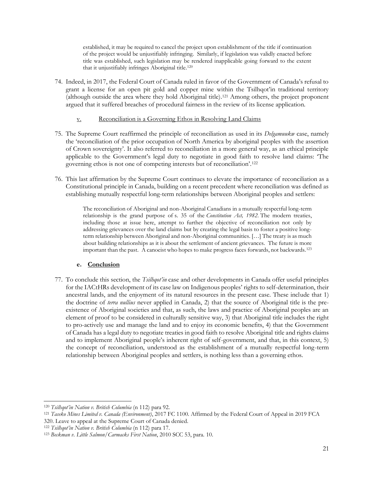established, it may be required to cancel the project upon establishment of the title if continuation of the project would be unjustifiably infringing. Similarly, if legislation was validly enacted before title was established, such legislation may be rendered inapplicable going forward to the extent that it unjustifiably infringes Aboriginal title.<sup>120</sup>

74. Indeed, in 2017, the Federal Court of Canada ruled in favor of the Government of Canada's refusal to grant a license for an open pit gold and copper mine within the Tsilhqot'in traditional territory (although outside the area where they hold Aboriginal title).<sup>121</sup> Among others, the project proponent argued that it suffered breaches of procedural fairness in the review of its license application.

### v. Reconciliation is a Governing Ethos in Resolving Land Claims

- 75. The Supreme Court reaffirmed the principle of reconciliation as used in its *Delgamuukw* case, namely the 'reconciliation of the prior occupation of North America by aboriginal peoples with the assertion of Crown sovereignty'. It also referred to reconciliation in a more general way, as an ethical principle applicable to the Government's legal duty to negotiate in good faith to resolve land claims: 'The governing ethos is not one of competing interests but of reconciliation'.<sup>122</sup>
- 76. This last affirmation by the Supreme Court continues to elevate the importance of reconciliation as a Constitutional principle in Canada, building on a recent precedent where reconciliation was defined as establishing mutually respectful long-term relationships between Aboriginal peoples and settlers:

The reconciliation of Aboriginal and non-Aboriginal Canadians in a mutually respectful long-term relationship is the grand purpose of s. 35 of the *Constitution Act, 1982*. The modern treaties, including those at issue here, attempt to further the objective of reconciliation not only by addressing grievances over the land claims but by creating the legal basis to foster a positive longterm relationship between Aboriginal and non-Aboriginal communities. […] The treaty is as much about building relationships as it is about the settlement of ancient grievances. The future is more important than the past. A canoeist who hopes to make progress faces forwards, not backwards.<sup>123</sup>

### **e. Conclusion**

77. To conclude this section, the *Tsilhqot'in* case and other developments in Canada offer useful principles for the IACtHRs development of its case law on Indigenous peoples' rights to self-determination, their ancestral lands, and the enjoyment of its natural resources in the present case. These include that 1) the doctrine of *terra nullius* never applied in Canada, 2) that the source of Aboriginal title is the preexistence of Aboriginal societies and that, as such, the laws and practice of Aboriginal peoples are an element of proof to be considered in culturally sensitive way, 3) that Aboriginal title includes the right to pro-actively use and manage the land and to enjoy its economic benefits, 4) that the Government of Canada has a legal duty to negotiate treaties in good faith to resolve Aboriginal title and rights claims and to implement Aboriginal people's inherent right of self-government, and that, in this context, 5) the concept of reconciliation, understood as the establishment of a mutually respectful long-term relationship between Aboriginal peoples and settlers, is nothing less than a governing ethos.

<sup>120</sup> *Tsilhqot'in Nation v. British Columbia* (n [112\)](#page-18-0) para 92.

<sup>121</sup> *Taseko Mines Limited v. Canada (Environment)*, 2017 FC 1100. Affirmed by the Federal Court of Appeal in 2019 FCA 320. Leave to appeal at the Supreme Court of Canada denied.

<sup>122</sup> *Tsilhqot'in Nation v. British Columbia* (n [112\)](#page-18-0) para 17.

<sup>123</sup> *Beckman v. Little Salmon/Carmacks First Nation*, 2010 SCC 53, para. 10.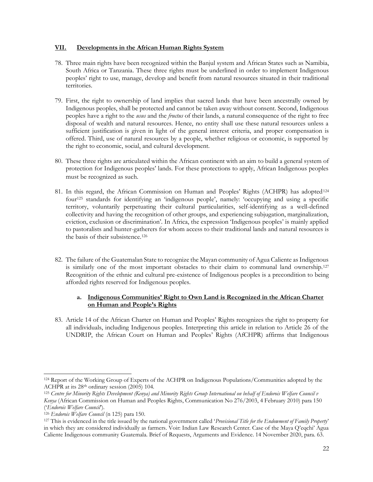#### **VII. Developments in the African Human Rights System**

- 78. Three main rights have been recognized within the Banjul system and African States such as Namibia, South Africa or Tanzania. These three rights must be underlined in order to implement Indigenous peoples' right to use, manage, develop and benefit from natural resources situated in their traditional territories.
- 79. First, the right to ownership of land implies that sacred lands that have been ancestrally owned by Indigenous peoples, shall be protected and cannot be taken away without consent. Second, Indigenous peoples have a right to the *usus* and the *fructus* of their lands, a natural consequence of the right to free disposal of wealth and natural resources. Hence, no entity shall use these natural resources unless a sufficient justification is given in light of the general interest criteria, and proper compensation is offered. Third, use of natural resources by a people, whether religious or economic, is supported by the right to economic, social, and cultural development.
- 80. These three rights are articulated within the African continent with an aim to build a general system of protection for Indigenous peoples' lands. For these protections to apply, African Indigenous peoples must be recognized as such.
- <span id="page-21-1"></span><span id="page-21-0"></span>81. In this regard, the African Commission on Human and Peoples' Rights (ACHPR) has adopted<sup>124</sup> four<sup>125</sup> standards for identifying an 'indigenous people', namely: 'occupying and using a specific territory, voluntarily perpetuating their cultural particularities, self-identifying as a well-defined collectivity and having the recognition of other groups, and experiencing subjugation, marginalization, eviction, exclusion or discrimination'. In Africa, the expression 'Indigenous peoples' is mainly applied to pastoralists and hunter-gatherers for whom access to their traditional lands and natural resources is the basis of their subsistence.<sup>126</sup>
- 82. The failure of the Guatemalan State to recognize the Mayan community of Agua Caliente as Indigenous is similarly one of the most important obstacles to their claim to communal land ownership.<sup>127</sup> Recognition of the ethnic and cultural pre-existence of Indigenous peoples is a precondition to being afforded rights reserved for Indigenous peoples.

### **a. Indigenous Communities' Right to Own Land is Recognized in the African Charter on Human and People's Rights**

83. Article 14 of the African Charter on Human and Peoples' Rights recognizes the right to property for all individuals, including Indigenous peoples. Interpreting this article in relation to Article 26 of the UNDRIP, the African Court on Human and Peoples' Rights (AfCHPR) affirms that Indigenous

<sup>124</sup> Report of the Working Group of Experts of the ACHPR on Indigenous Populations/Communities adopted by the ACHPR at its 28th ordinary session (2005) 104.

<sup>125</sup> *Centre for Minority Rights Development (Kenya) and Minority Rights Group International on behalf of Endorois Welfare Council v Kenya* (African Commission on Human and Peoples Rights, Communication No 276/2003, 4 February 2010) para 150 ('*Endorois Welfare Council*').

<sup>126</sup> *Endorois Welfare Council* (n [125\)](#page-21-0) para 150.

<sup>127</sup> This is evidenced in the title issued by the national government called '*Provisional Title for the Endowment of Family Property*' in which they are considered individually as farmers. Voir: Indian Law Research Center. Case of the Maya Q'eqchi' Agua Caliente Indigenous community Guatemala. Brief of Requests, Arguments and Evidence. 14 November 2020, para. 63.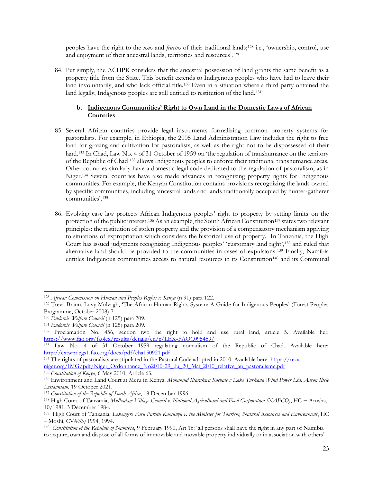peoples have the right to the *usus* and *fructus* of their traditional lands;<sup>128</sup> i.e., 'ownership, control, use and enjoyment of their ancestral lands, territories and resources'.<sup>129</sup>

84. Put simply, the ACHPR considers that the ancestral possession of land grants the same benefit as a property title from the State. This benefit extends to Indigenous peoples who have had to leave their land involuntarily, and who lack official title.<sup>130</sup> Even in a situation where a third party obtained the land legally, Indigenous peoples are still entitled to restitution of the land.<sup>131</sup>

#### **b. Indigenous Communities' Right to Own Land in the Domestic Laws of African Countries**

- 85. Several African countries provide legal instruments formalizing common property systems for pastoralists. For example, in Ethiopia, the 2005 Land Administration Law includes the right to free land for grazing and cultivation for pastoralists, as well as the right not to be dispossessed of their land.<sup>132</sup> In Chad, Law No. 4 of 31 October of 1959 on 'the regulation of transhumance on the territory of the Republic of Chad'<sup>133</sup> allows Indigenous peoples to enforce their traditional transhumance areas. Other countries similarly have a domestic legal code dedicated to the regulation of pastoralism, as in Niger.<sup>134</sup> Several countries have also made advances in recognizing property rights for Indigenous communities. For example, the Kenyan Constitution contains provisions recognizing the lands owned by specific communities, including 'ancestral lands and lands traditionally occupied by hunter-gatherer communities'. 135
- 86. Evolving case law protects African Indigenous peoples' right to property by setting limits on the protection of the public interest.<sup>136</sup> As an example, the South African Constitution<sup>137</sup> states two relevant principles: the restitution of stolen property and the provision of a compensatory mechanism applying to situations of expropriation which considers the historical use of property. In Tanzania, the High Court has issued judgments recognizing Indigenous peoples' 'customary land right',<sup>138</sup> and ruled that alternative land should be provided to the communities in cases of expulsions.<sup>139</sup> Finally, Namibia entitles Indigenous communities access to natural resources in its Constitution<sup>140</sup> and its Communal

<sup>&</sup>lt;sup>128</sup> African Commission on Human and Peoples Rights v. Kenya (n [91\)](#page-14-0) para 122.

<sup>129</sup> Treva Braun, Luvy Mulvagh, 'The African Human Rights System: A Guide for Indigenous Peoples' (Forest Peoples Programme, October 2008) 7.

<sup>130</sup> *Endorois Welfare Council* (n [125\)](#page-21-0) para 209.

<sup>131</sup> *Endorois Welfare Council* (n [125\)](#page-21-0) para 209*.*

<sup>132</sup> Proclamation No. 456, section two the right to hold and use rural land, article 5. Available her: <https://www.fao.org/faolex/results/details/en/c/LEX-FAOC095459/>

<sup>133</sup> Law No. 4 of 31 October 1959 regulating nomadism of the Republic of Chad. Available here: <http://extwprlegs1.fao.org/docs/pdf/cha150921.pdf>

<sup>&</sup>lt;sup>134</sup> The rights of pastoralists are stipulated in the Pastoral Code adopted in 2010. Available here: [https://reca](https://reca-niger.org/IMG/pdf/Niger_Ordonnance_No2010-29_du_20_Mai_2010_relative_au_pastoralisme.pdf)[niger.org/IMG/pdf/Niger\\_Ordonnance\\_No2010-29\\_du\\_20\\_Mai\\_2010\\_relative\\_au\\_pastoralisme.pdf](https://reca-niger.org/IMG/pdf/Niger_Ordonnance_No2010-29_du_20_Mai_2010_relative_au_pastoralisme.pdf)

<sup>135</sup> *Constitution of Kenya*, 6 May 2010, Article 63.

<sup>136</sup> Environment and Land Court at Meru in Kenya, *Mohamud Iltarakwa Kochale v Lake Turkana Wind Power Ltd; Aaron Iltele Lesianntam,* 19 October 2021.

<sup>137</sup> *Constitution of the Republic of South Africa*, 18 December 1996.

<sup>138</sup> High Court of Tanzania, *Mulbadaw Village Council v. National Agricultural and Food Corporation (NAFCO)*, HC − Arusha, 10/1981, 3 December 1984.

<sup>139</sup> High Court of Tanzania, *Lekengere Faru Parutu Kamunyu v. the Minister for Tourism, Natural Resources and Environment*, HC – Moshi, CV#33/1994, 1994.

<sup>140</sup> *Constitution of the Republic of Namibia*, 9 February 1990, Art 16: 'all persons shall have the right in any part of Namibia to acquire, own and dispose of all forms of immovable and movable property individually or in association with others'.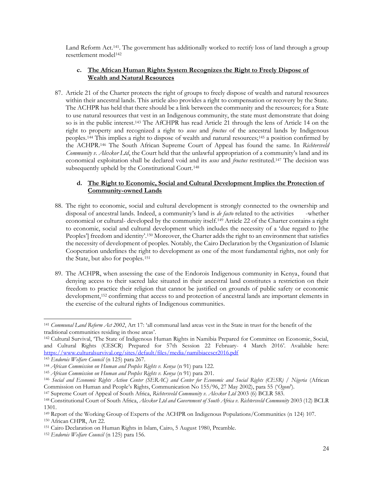Land Reform Act.141. The government has additionally worked to rectify loss of land through a group resettlement model<sup>142</sup>

### **c. The African Human Rights System Recognizes the Right to Freely Dispose of Wealth and Natural Resources**

87. Article 21 of the Charter protects the right of groups to freely dispose of wealth and natural resources within their ancestral lands. This article also provides a right to compensation or recovery by the State. The ACHPR has held that there should be a link between the community and the resources; for a State to use natural resources that vest in an Indigenous community, the state must demonstrate that doing so is in the public interest.<sup>143</sup> The AfCHPR has read Article 21 through the lens of Article 14 on the right to property and recognized a right to *usus* and *fructus* of the ancestral lands by Indigenous peoples.<sup>144</sup> This implies a right to dispose of wealth and natural resources;<sup>145</sup> a position confirmed by the ACHPR.<sup>146</sup> The South African Supreme Court of Appeal has found the same. In *Richtersveld Community v. Alexkor Ltd*, the Court held that the unlawful appropriation of a community's land and its economical exploitation shall be declared void and its *usus* and *fructus* restituted.<sup>147</sup> The decision was subsequently upheld by the Constitutional Court.<sup>148</sup>

#### <span id="page-23-0"></span>**d. The Right to Economic, Social and Cultural Development Implies the Protection of Community-owned Lands**

- 88. The right to economic, social and cultural development is strongly connected to the ownership and disposal of ancestral lands. Indeed, a community's land is *de facto* related to the activities -whether economical or cultural- developed by the community itself.<sup>149</sup> Article 22 of the Charter contains a right to economic, social and cultural development which includes the necessity of a 'due regard to [the Peoples'] freedom and identity'.<sup>150</sup> Moreover, the Charter adds the right to an environment that satisfies the necessity of development of peoples. Notably, the Cairo Declaration by the Organization of Islamic Cooperation underlines the right to development as one of the most fundamental rights, not only for the State, but also for peoples.<sup>151</sup>
- 89. The ACHPR, when assessing the case of the Endorois Indigenous community in Kenya, found that denying access to their sacred lake situated in their ancestral land constitutes a restriction on their freedom to practice their religion that cannot be justified on grounds of public safety or economic development,<sup>152</sup> confirming that access to and protection of ancestral lands are important elements in the exercise of the cultural rights of Indigenous communities.

<sup>141</sup> *Communal Land Reform Act 2002*, Art 17: 'all communal land areas vest in the State in trust for the benefit of the traditional communities residing in those areas'.

<sup>142</sup> Cultural Survival, 'The State of Indigenous Human Rights in Namibia Prepared for Committee on Economic, Social, and Cultural Rights (CESCR) Prepared for 57th Session 22 February- 4 March 2016'. Available here: <https://www.culturalsurvival.org/sites/default/files/media/namibiacescr2016.pdf>

<sup>143</sup> *Endorois Welfare Council* (n [125\)](#page-21-0) para 267.

<sup>144</sup> *African Commission on Human and Peoples Rights v. Kenya* (n [91\)](#page-14-0) para 122.

<sup>&</sup>lt;sup>145</sup> *African Commission on Human and Peoples Rights v. Kenya* (n [91\)](#page-14-0) para 201.

<sup>146</sup> *Social and Economic Rights Action Center (SERAC) and Center for Economic and Social Rights (CESR) / Nigeria* (African Commission on Human and People's Rights, Communication No 155/96, 27 May 2002), para 55 ('*Ogoni*').

<sup>147</sup> Supreme Court of Appeal of South Africa, *Richtersveld Community v. Alexkor Ltd* 2003 (6) BCLR 583.

<sup>148</sup> Constitutional Court of South Africa, *Alexkor Ltd and Government of South Africa v. Richtersveld Community* 2003 (12) BCLR 1301.

<sup>149</sup> Report of the Working Group of Experts of the ACHPR on Indigenous Populations/Communities (n [124\)](#page-21-1) 107. <sup>150</sup> African CHPR, Art 22.

<sup>151</sup> Cairo Declaration on Human Rights in Islam, Cairo, 5 August 1980, Preamble.

<sup>152</sup> *Endorois Welfare Council* (n [125\)](#page-21-0) para 156.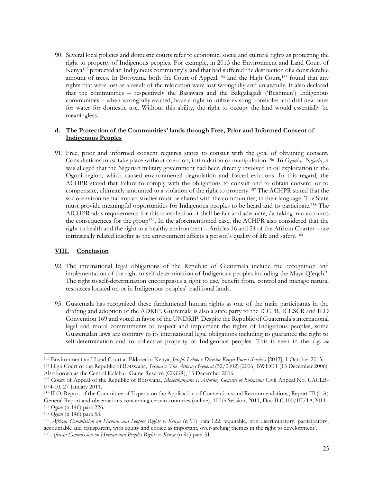90. Several local policies and domestic courts refer to economic, social and cultural rights as protecting the right to property of Indigenous peoples. For example, in 2013 the Environment and Land Court of Kenya<sup>153</sup> protected an Indigenous community's land that had suffered the destruction of a considerable amount of trees. In Botswana, both the Court of Appeal,<sup>154</sup> and the High Court,<sup>155</sup> found that any rights that were lost as a result of the relocation were lost wrongfully and unlawfully. It also declared that the communities – respectively the Basawara and the Bakgalagadi ('Bushmen') Indigenous communities – when wrongfully evicted, have a right to utilize existing boreholes and drill new ones for water for domestic use. Without this ability, the right to occupy the land would essentially be meaningless.

#### **d. The Protection of the Communities' lands through Free, Prior and Informed Consent of Indigenous Peoples**

91. Free, prior and informed consent requires states to consult with the goal of obtaining consent. Consultations must take place without coercion, intimidation or manipulation.<sup>156</sup> In *Ogoni v. Nigeria*, it was alleged that the Nigerian military government had been directly involved in oil exploitation in the Ogoni region, which caused environmental degradation and forced evictions. In this regard, the ACHPR stated that failure to comply with the obligations to consult and to obtain consent, or to compensate, ultimately amounted to a violation of the right to property.<sup>157</sup> The ACHPR stated that the socio-environmental impact studies must be shared with the communities, in their language. The State must provide meaningful opportunities for Indigenous peoples to be heard and to participate.<sup>158</sup> The AfCHPR adds requirements for this consultation: it shall be fair and adequate, *i.e.* taking into accounts the consequences for the group159. In the aforementioned case, the ACHPR also considered that the right to health and the right to a healthy environment – Articles 16 and 24 of the African Charter – are intrinsically related insofar as the environment affects a person's quality of life and safety. <sup>160</sup>

### **VIII. Conclusion**

- 92. The international legal obligations of the Republic of Guatemala include the recognition and implementation of the right to self-determination of Indigenous peoples including the Maya Q'eqchi'. The right to self-determination encompasses a right to use, benefit from, control and manage natural resources located on or in Indigenous peoples' traditional lands.
- 93. Guatemala has recognized these fundamental human rights as one of the main participants in the drafting and adoption of the ADRIP. Guatemala is also a state party to the ICCPR, ICESCR and ILO Convention 169 and voted in favor of the UNDRIP. Despite the Republic of Guatemala's international legal and moral commitments to respect and implement the rights of Indigenous peoples, some Guatemalan laws are contrary to its international legal obligations including to guarantee the right to self-determination and to collective property of Indigenous peoples. This is seen in the *Ley de*

<sup>153</sup> Environment and Land Court at Eldoret in Kenya, *Joseph Leboo v Director Kenya Forest Services* [2013], 1 October 2013. <sup>154</sup> High Court of the Republic of Botswana, *Sesana v. The Attorney General* (52/2002) [2006] BWHC 1 (13 December 2006). Also known as the Central Kalahari Game Reserve (CKGR), 13 December 2006.

<sup>155</sup> Court of Appeal of the Republic of Botswana, *Mosetlhanyane v. Attorney General of Botswana* Civil Appeal No. CACLB-074-10, 27 January 2011.

<sup>156</sup> ILO, Report of the Committee of Experts on the Application of Conventions and Recommendations, Report III (1 A) General Report and observations concerning certain countries (online), 100th Session, 2011, Doc.ILC.100/III/1A,2011. <sup>157</sup> *Ogoni* (n [146\)](#page-23-0) para 226.

<sup>158</sup> *Ogoni* (n [146\)](#page-23-0) para 53.

<sup>159</sup> *African Commission on Human and Peoples Rights v. Kenya* (n [91\)](#page-14-0) para 122: 'equitable, non-discriminatory, participatory, accountable and transparent, with equity and choice as important, over-arching themes in the right to development'. <sup>160</sup> *African Commission on Human and Peoples Rights v. Kenya* (n [91\)](#page-14-0) para 51.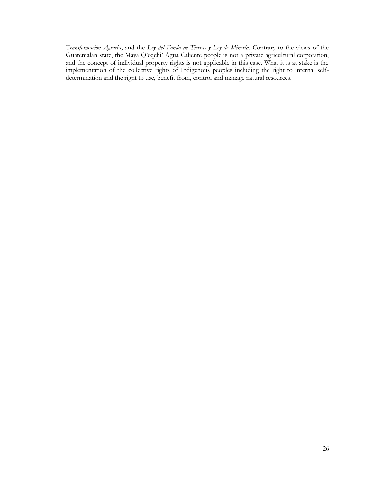*Transformación Agraria*, and the *Ley del Fondo de Tierras y Ley de Minería*. Contrary to the views of the Guatemalan state, the Maya Q'eqchi' Agua Caliente people is not a private agricultural corporation, and the concept of individual property rights is not applicable in this case. What it is at stake is the implementation of the collective rights of Indigenous peoples including the right to internal selfdetermination and the right to use, benefit from, control and manage natural resources.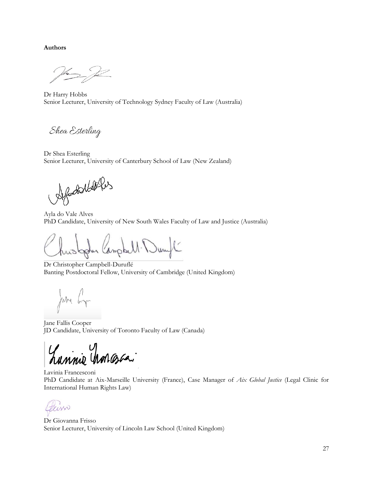**Authors**

Dr Harry Hobbs Senior Lecturer, University of Technology Sydney Faculty of Law (Australia)

Shea Esterling

Dr Shea Esterling Senior Lecturer, University of Canterbury School of Law (New Zealand)

Afodolders

Ayla do Vale Alves PhD Candidate, University of New South Wales Faculty of Law and Justice (Australia)

hustopher lampbell. Durft

Dr Christopher Campbell-Duruflé Banting Postdoctoral Fellow, University of Cambridge (United Kingdom)

June by

Jane Fallis Cooper JD Candidate, University of Toronto Faculty of Law (Canada)

mnie Mongora

Lavinia Francesconi PhD Candidate at Aix-Marseille University (France), Case Manager of *Aix Global Justice* (Legal Clinic for International Human Rights Law)

 $1N<sub>2</sub>$ 

Dr Giovanna Frisso Senior Lecturer, University of Lincoln Law School (United Kingdom)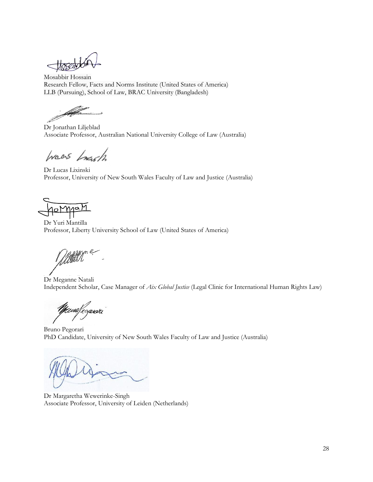Hoseddon  $\,<\,$ 

Mosabbir Hossain Research Fellow, Facts and Norms Institute (United States of America) LLB (Pursuing), School of Law, BRAC University (Bangladesh)

Dr Jonathan Liljeblad Associate Professor, Australian National University College of Law (Australia)

Waas Lough

Dr Lucas Lixinski Professor, University of New South Wales Faculty of Law and Justice (Australia)

Jonyan

Dr Yuri Mantilla Professor, Liberty University School of Law (United States of America)

Dr Meganne Natali Independent Scholar, Case Manager of *Aix Global Justice* (Legal Clinic for International Human Rights Law)

Mewsfegerard

Bruno Pegorari PhD Candidate, University of New South Wales Faculty of Law and Justice (Australia)

Dr Margaretha Wewerinke-Singh Associate Professor, University of Leiden (Netherlands)